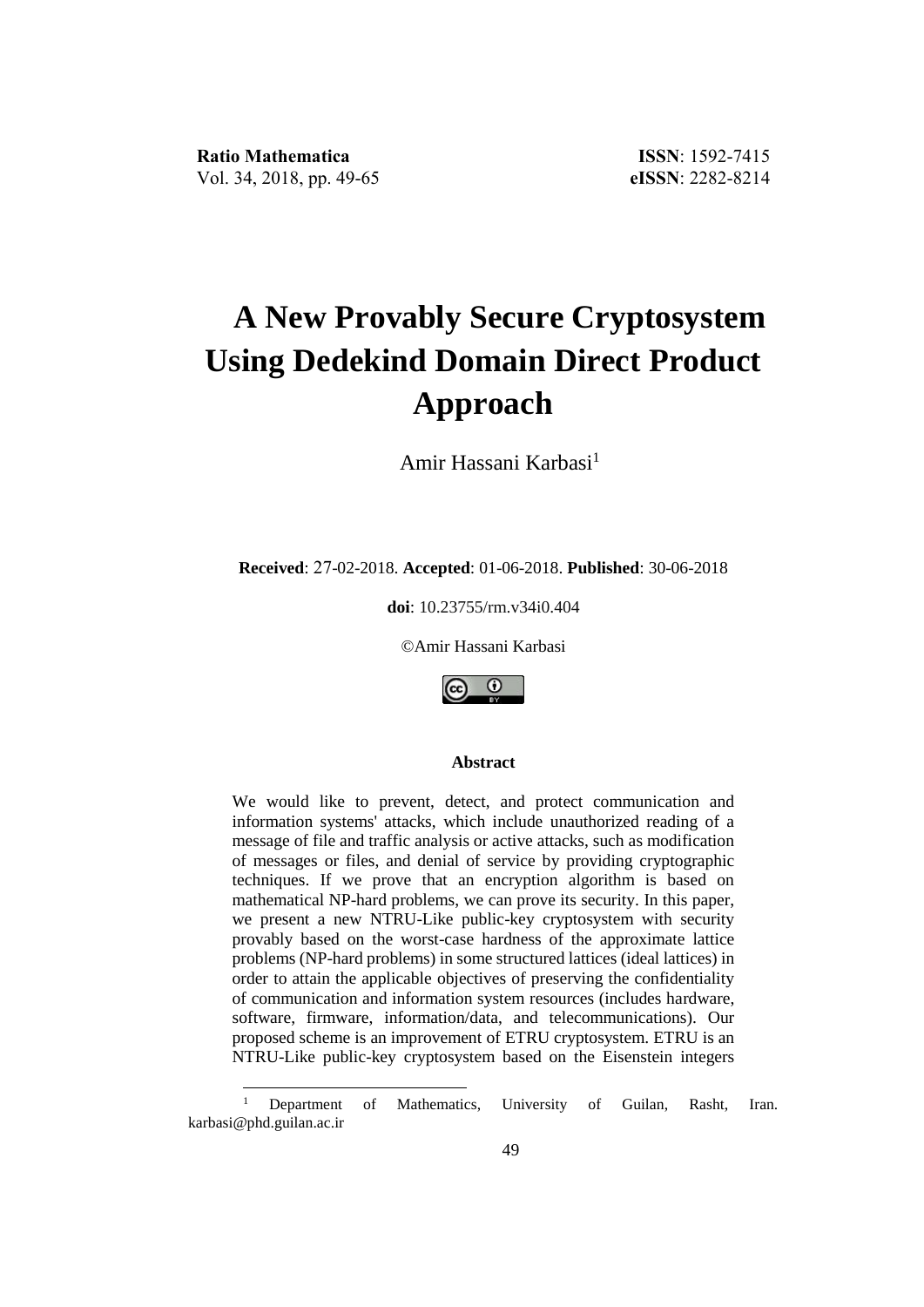<u>.</u>

# **A New Provably Secure Cryptosystem Using Dedekind Domain Direct Product Approach**

Amir Hassani Karbasi<sup>1</sup>

**Received**: 27-02-2018. **Accepted**: 01-06-2018. **Published**: 30-06-2018

**doi**: 10.23755/rm.v34i0.404

©Amir Hassani Karbasi



#### **Abstract**

We would like to prevent, detect, and protect communication and information systems' attacks, which include unauthorized reading of a message of file and traffic analysis or active attacks, such as modification of messages or files, and denial of service by providing cryptographic techniques. If we prove that an encryption algorithm is based on mathematical NP-hard problems, we can prove its security. In this paper, we present a new NTRU-Like public-key cryptosystem with security provably based on the worst-case hardness of the approximate lattice problems (NP-hard problems) in some structured lattices (ideal lattices) in order to attain the applicable objectives of preserving the confidentiality of communication and information system resources (includes hardware, software, firmware, information/data, and telecommunications). Our proposed scheme is an improvement of ETRU cryptosystem. ETRU is an NTRU-Like public-key cryptosystem based on the Eisenstein integers

<sup>&</sup>lt;sup>1</sup> Department of Mathematics, University of Guilan, Rasht, Iran. karbasi@phd.guilan.ac.ir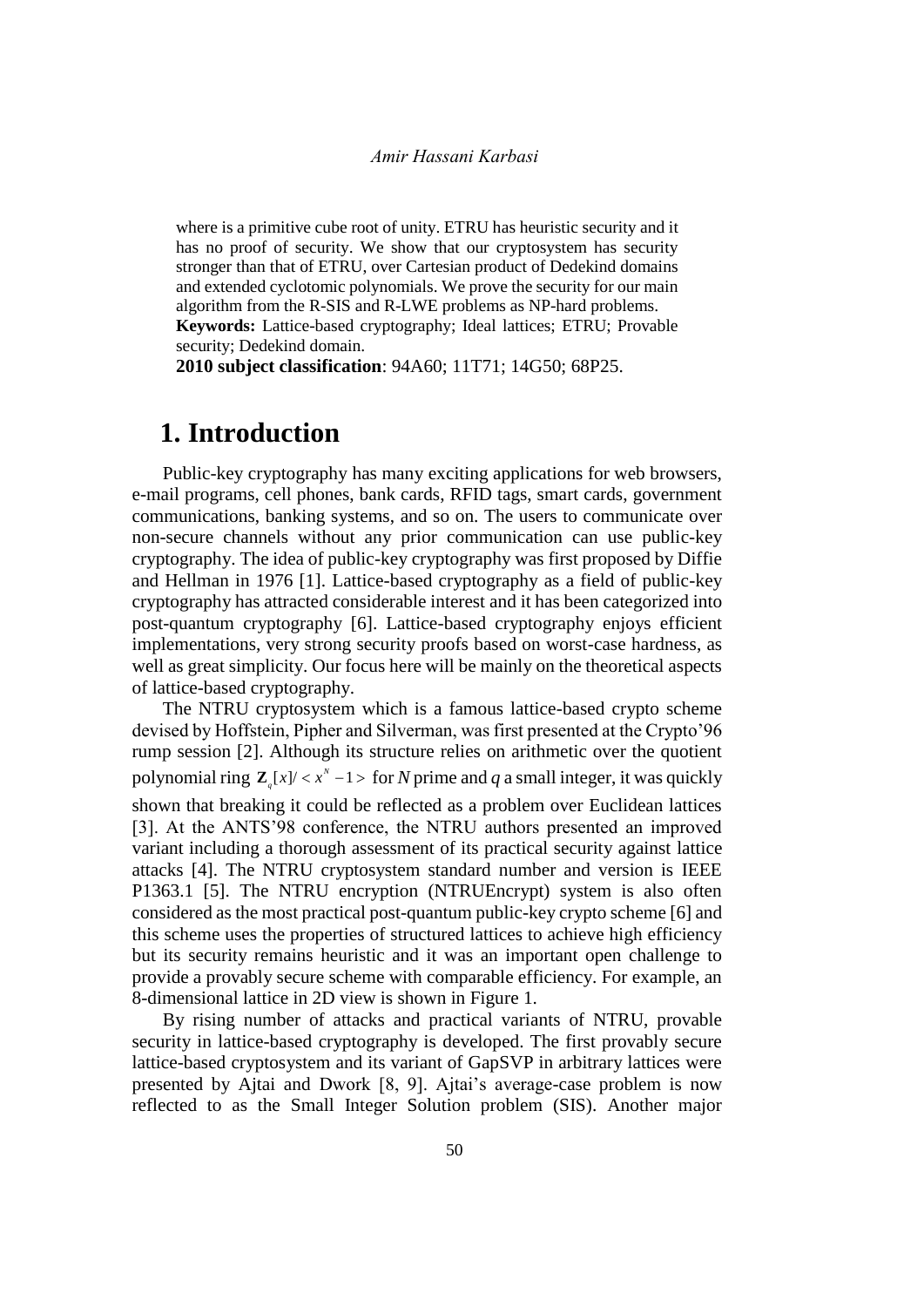where is a primitive cube root of unity. ETRU has heuristic security and it has no proof of security. We show that our cryptosystem has security stronger than that of ETRU, over Cartesian product of Dedekind domains and extended cyclotomic polynomials. We prove the security for our main algorithm from the R-SIS and R-LWE problems as NP-hard problems. **Keywords:** Lattice-based cryptography; Ideal lattices; ETRU; Provable security; Dedekind domain.

**2010 subject classification**: 94A60; 11T71; 14G50; 68P25.

# **1. Introduction**

Public-key cryptography has many exciting applications for web browsers, e-mail programs, cell phones, bank cards, RFID tags, smart cards, government communications, banking systems, and so on. The users to communicate over non-secure channels without any prior communication can use public-key cryptography. The idea of public-key cryptography was first proposed by Diffie and Hellman in 1976 [1]. Lattice-based cryptography as a field of public-key cryptography has attracted considerable interest and it has been categorized into post-quantum cryptography [6]. Lattice-based cryptography enjoys efficient implementations, very strong security proofs based on worst-case hardness, as well as great simplicity. Our focus here will be mainly on the theoretical aspects of lattice-based cryptography.

The NTRU cryptosystem which is a famous lattice-based crypto scheme devised by Hoffstein, Pipher and Silverman, was first presented at the Crypto'96 rump session [2]. Although its structure relies on arithmetic over the quotient polynomial ring  $\mathbb{Z}_q[x] < x^N - 1$  > for *N* prime and *q* a small integer, it was quickly shown that breaking it could be reflected as a problem over Euclidean lattices [3]. At the ANTS'98 conference, the NTRU authors presented an improved variant including a thorough assessment of its practical security against lattice attacks [4]. The NTRU cryptosystem standard number and version is IEEE P1363.1 [5]. The NTRU encryption (NTRUEncrypt) system is also often considered as the most practical post-quantum public-key crypto scheme [6] and this scheme uses the properties of structured lattices to achieve high efficiency but its security remains heuristic and it was an important open challenge to provide a provably secure scheme with comparable efficiency. For example, an 8-dimensional lattice in 2D view is shown in Figure 1.

By rising number of attacks and practical variants of NTRU, provable security in lattice-based cryptography is developed. The first provably secure lattice-based cryptosystem and its variant of GapSVP in arbitrary lattices were presented by Ajtai and Dwork [8, 9]. Ajtai's average-case problem is now reflected to as the Small Integer Solution problem (SIS). Another major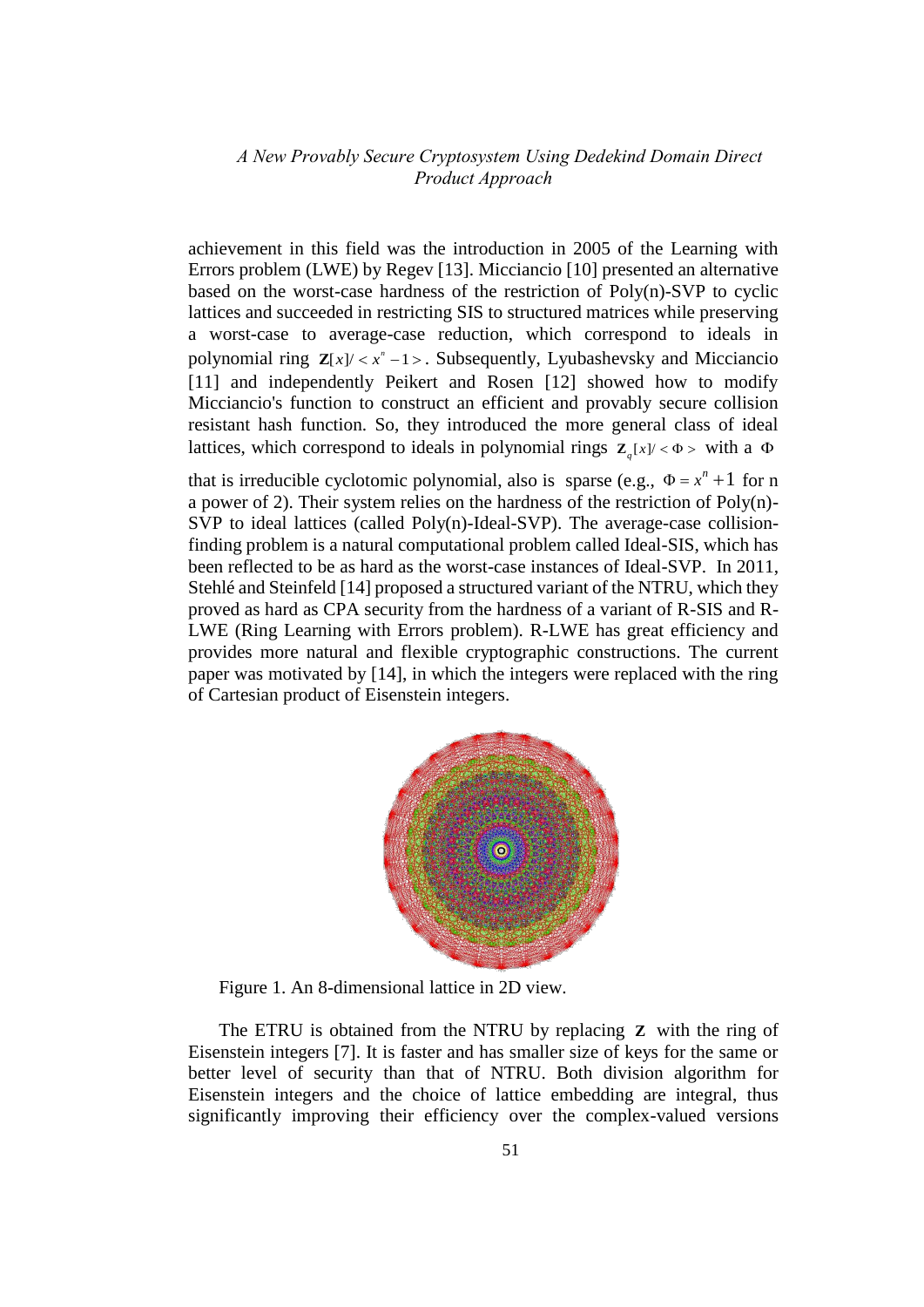achievement in this field was the introduction in 2005 of the Learning with Errors problem (LWE) by Regev [13]. Micciancio [10] presented an alternative based on the worst-case hardness of the restriction of Poly(n)-SVP to cyclic lattices and succeeded in restricting SIS to structured matrices while preserving a worst-case to average-case reduction, which correspond to ideals in polynomial ring  $\mathbf{Z}[x]/\langle x^n - 1 \rangle$ . Subsequently, Lyubashevsky and Micciancio [11] and independently Peikert and Rosen [12] showed how to modify Micciancio's function to construct an efficient and provably secure collision resistant hash function. So, they introduced the more general class of ideal lattices, which correspond to ideals in polynomial rings  $\mathbf{Z}_q[x] < \Phi$  > with a  $\Phi$ 

that is irreducible cyclotomic polynomial, also is sparse (e.g.,  $\Phi = x^n + 1$  for n a power of 2). Their system relies on the hardness of the restriction of Poly(n)- SVP to ideal lattices (called Poly(n)-Ideal-SVP). The average-case collisionfinding problem is a natural computational problem called Ideal-SIS, which has been reflected to be as hard as the worst-case instances of Ideal-SVP. In 2011, Stehlé and Steinfeld [14] proposed a structured variant of the NTRU, which they proved as hard as CPA security from the hardness of a variant of R-SIS and R-LWE (Ring Learning with Errors problem). R-LWE has great efficiency and provides more natural and flexible cryptographic constructions. The current paper was motivated by [14], in which the integers were replaced with the ring of Cartesian product of Eisenstein integers.



Figure 1. An 8-dimensional lattice in 2D view.

The ETRU is obtained from the NTRU by replacing **Z** with the ring of Eisenstein integers [7]. It is faster and has smaller size of keys for the same or better level of security than that of NTRU. Both division algorithm for Eisenstein integers and the choice of lattice embedding are integral, thus significantly improving their efficiency over the complex-valued versions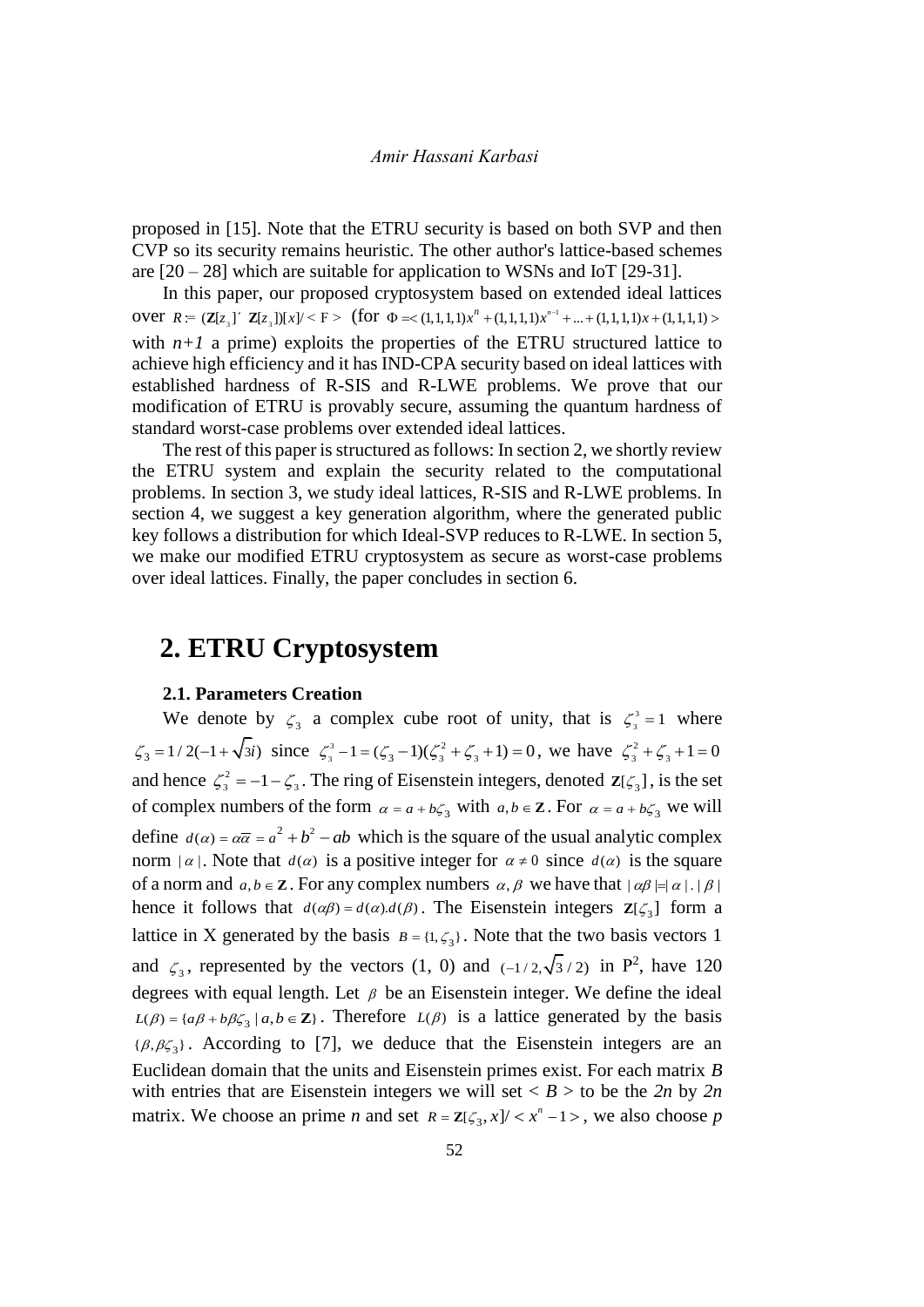proposed in [15]. Note that the ETRU security is based on both SVP and then CVP so its security remains heuristic. The other author's lattice-based schemes are  $[20 - 28]$  which are suitable for application to WSNs and IoT  $[29 - 31]$ .

In this paper, our proposed cryptosystem based on extended ideal lattices<br>
∴ *R* = (**Z**[*z*<sub>3</sub>]' **Z**[*z*<sub>3</sub>])[*x*]/ < F > (for Φ = < (1,1,1,1)*x*<sup>*n*</sup> + (1,1,1,1)*x*<sup>*n*</sup> + ... + (1,1,1,1)*x* + (1,1,1,1) > over  $R = (\mathbf{Z}[z_3]^\prime \mathbf{Z}[z_3])[x]/\leq F$  > (for  $\Phi = \langle (1,1,1,1,1) x^n + (1,1,1,1) x^{n-1} \rangle$ with  $n+1$  a prime) exploits the properties of the ETRU structured lattice to achieve high efficiency and it has IND-CPA security based on ideal lattices with established hardness of R-SIS and R-LWE problems. We prove that our modification of ETRU is provably secure, assuming the quantum hardness of standard worst-case problems over extended ideal lattices.

The rest of this paper is structured as follows: In section 2, we shortly review the ETRU system and explain the security related to the computational problems. In section 3, we study ideal lattices, R-SIS and R-LWE problems. In section 4, we suggest a key generation algorithm, where the generated public key follows a distribution for which Ideal-SVP reduces to R-LWE. In section 5, we make our modified ETRU cryptosystem as secure as worst-case problems over ideal lattices. Finally, the paper concludes in section 6.

### **2. ETRU Cryptosystem**

#### **2.1. Parameters Creation**

We denote by  $\zeta_3$  a complex cube root of unity, that is  $\zeta_3^3$  $\zeta_3^3 = 1$  where  $\zeta_3 = 1/2(-1+\sqrt{3}i)$  since  $\zeta_3^3$ 3 2  $\zeta_3^3 - 1 = (\zeta_3 - 1)(\zeta_3^2 + \zeta_3 + 1) = 0$ , we have  $\zeta_3^2 + \zeta_3 + 1 = 0$ and hence  $\zeta_3^2 = -1 - \zeta_3$ . The ring of Eisenstein integers, denoted  $\mathbb{Z}[\zeta_3]$ , is the set of complex numbers of the form  $\alpha = a + b\zeta_3$  with  $a, b \in \mathbb{Z}$ . For  $\alpha = a + b\zeta_3$  we will define  $d(\alpha) = \alpha \overline{\alpha} = a^2 + b^2 - ab$  which is the square of the usual analytic complex norm  $| \alpha |$ . Note that  $d(\alpha)$  is a positive integer for  $\alpha \neq 0$  since  $d(\alpha)$  is the square of a norm and  $a, b \in \mathbb{Z}$ . For any complex numbers  $\alpha, \beta$  we have that  $|\alpha\beta| = |\alpha| |\beta|$ hence it follows that  $d(\alpha\beta) = d(\alpha) \cdot d(\beta)$ . The Eisenstein integers  $\mathbb{Z}[\zeta_3]$  form a lattice in X generated by the basis  $B = \{1, \zeta_3\}$ . Note that the two basis vectors 1 and  $\zeta_3$ , represented by the vectors (1, 0) and (-1/2, $\sqrt{3}$ /2) in P<sup>2</sup>, have 120 degrees with equal length. Let  $\beta$  be an Eisenstein integer. We define the ideal  $L(\beta) = \{a\beta + b\beta\zeta_3 \mid a, b \in \mathbb{Z}\}\.$  Therefore  $L(\beta)$  is a lattice generated by the basis  $\{\beta, \beta\zeta_3\}$ . According to [7], we deduce that the Eisenstein integers are an Euclidean domain that the units and Eisenstein primes exist. For each matrix *B* with entries that are Eisenstein integers we will set  $\langle B \rangle$  to be the 2n by 2n matrix. We choose an prime *n* and set  $R = \mathbb{Z}[\zeta_3, x] / \langle x^n - 1 \rangle$ , we also choose *p*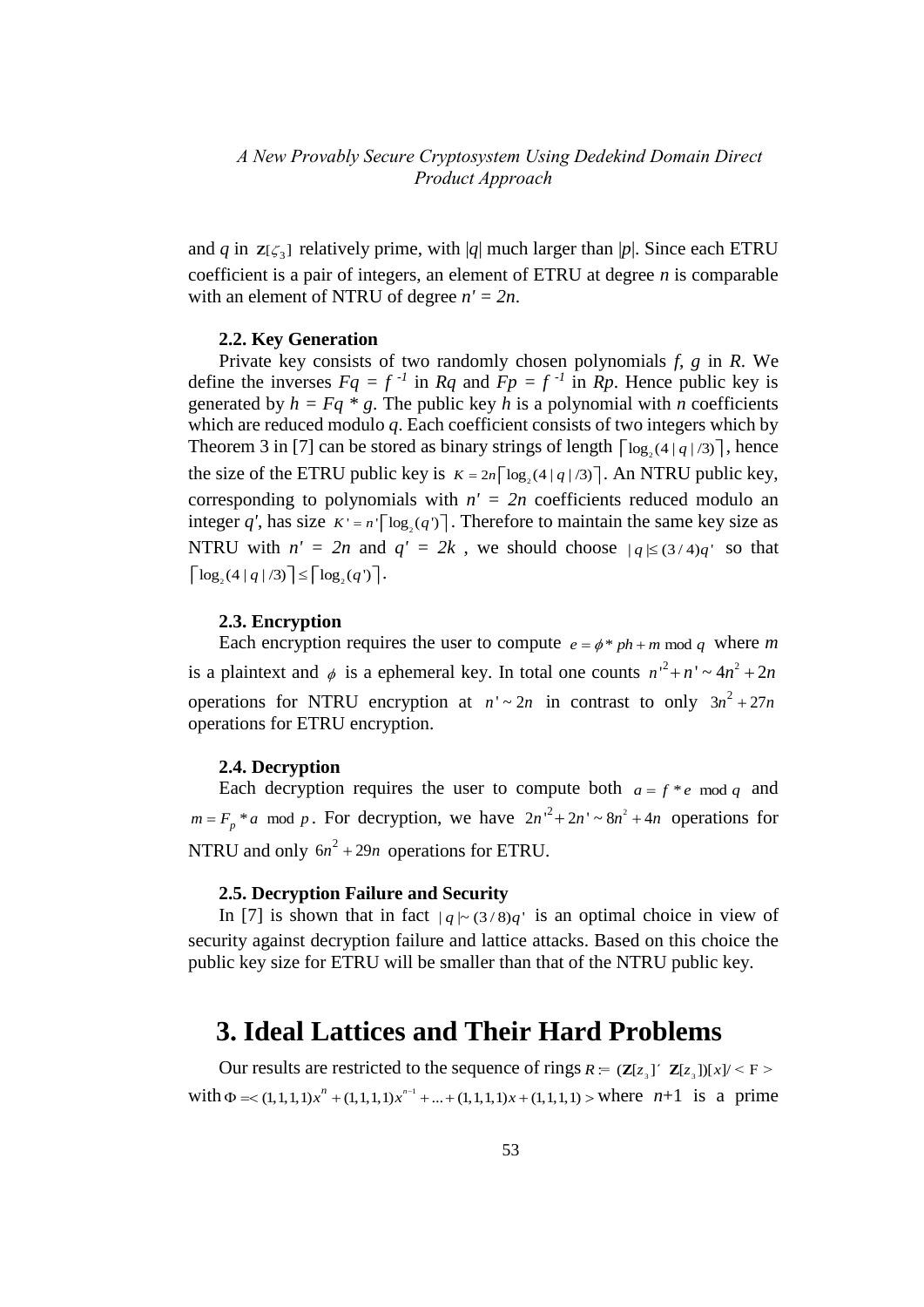and *q* in  $z[\zeta_3]$  relatively prime, with |*q*| much larger than |*p*|. Since each ETRU coefficient is a pair of integers, an element of ETRU at degree *n* is comparable with an element of NTRU of degree *n' = 2n*.

#### **2.2. Key Generation**

Private key consists of two randomly chosen polynomials *f*, *g* in *R*. We define the inverses  $Fq = f^{-1}$  in  $Rq$  and  $Fp = f^{-1}$  in  $Rp$ . Hence public key is generated by  $h = Fq * g$ . The public key *h* is a polynomial with *n* coefficients which are reduced modulo *q*. Each coefficient consists of two integers which by Theorem 3 in [7] can be stored as binary strings of length  $\lceil \log_2(4 | q|/3) \rceil$ , hence the size of the ETRU public key is  $K = 2n \lceil \log_2(4 | q|/3) \rceil$ . An NTRU public key, corresponding to polynomials with  $n' = 2n$  coefficients reduced modulo an integer q', has size  $K' = n \lceil \log_2(q) \rceil$ . Therefore to maintain the same key size as NTRU with  $n' = 2n$  and  $q' = 2k$ , we should choose  $|q| \leq (3/4)q'$  so that  $\lceil \log_2(4 | q|/3) \rceil \leq \lceil \log_2(q) \rceil$ .

#### **2.3. Encryption**

Each encryption requires the user to compute  $e = \phi * ph + m \mod q$  where m is a plaintext and  $\phi$  is a ephemeral key. In total one counts  $n^{2} + n' \sim 4n^{2} + 2n$ operations for NTRU encryption at  $n' \sim 2n$  in contrast to only  $3n^2 + 27n$ operations for ETRU encryption.

#### **2.4. Decryption**

Each decryption requires the user to compute both  $a = f * e$  mod q and  $m = F_p * a \mod p$ . For decryption, we have  $2n^2 + 2n - s n^2 + 4n$  operations for NTRU and only  $6n^2 + 29n$  operations for ETRU.

#### **2.5. Decryption Failure and Security**

In [7] is shown that in fact  $|q| \sim (3/8)q'$  is an optimal choice in view of security against decryption failure and lattice attacks. Based on this choice the public key size for ETRU will be smaller than that of the NTRU public key.

# **3. Ideal Lattices and Their Hard Problems**

Our results are restricted to the sequence of rings  $R = (\mathbf{Z}[z_3]^\top \mathbf{Z}[z_3])[x]/\leq F$  >  $\Phi$  = < (1,1,1,1) $x^n$  + (1,1,1,1) $x^{n-1}$  + ... + (1,1,1,1) x + (1,1,1,1) > where  $n+1$  is a prime with  $\Phi = (1, 1, 1, 1)x^{n} + (1, 1, 1, 1)x^{n-1} + ... + (1, 1, 1, 1)x + (1, 1, 1, 1)$  where  $n+1$  is a prime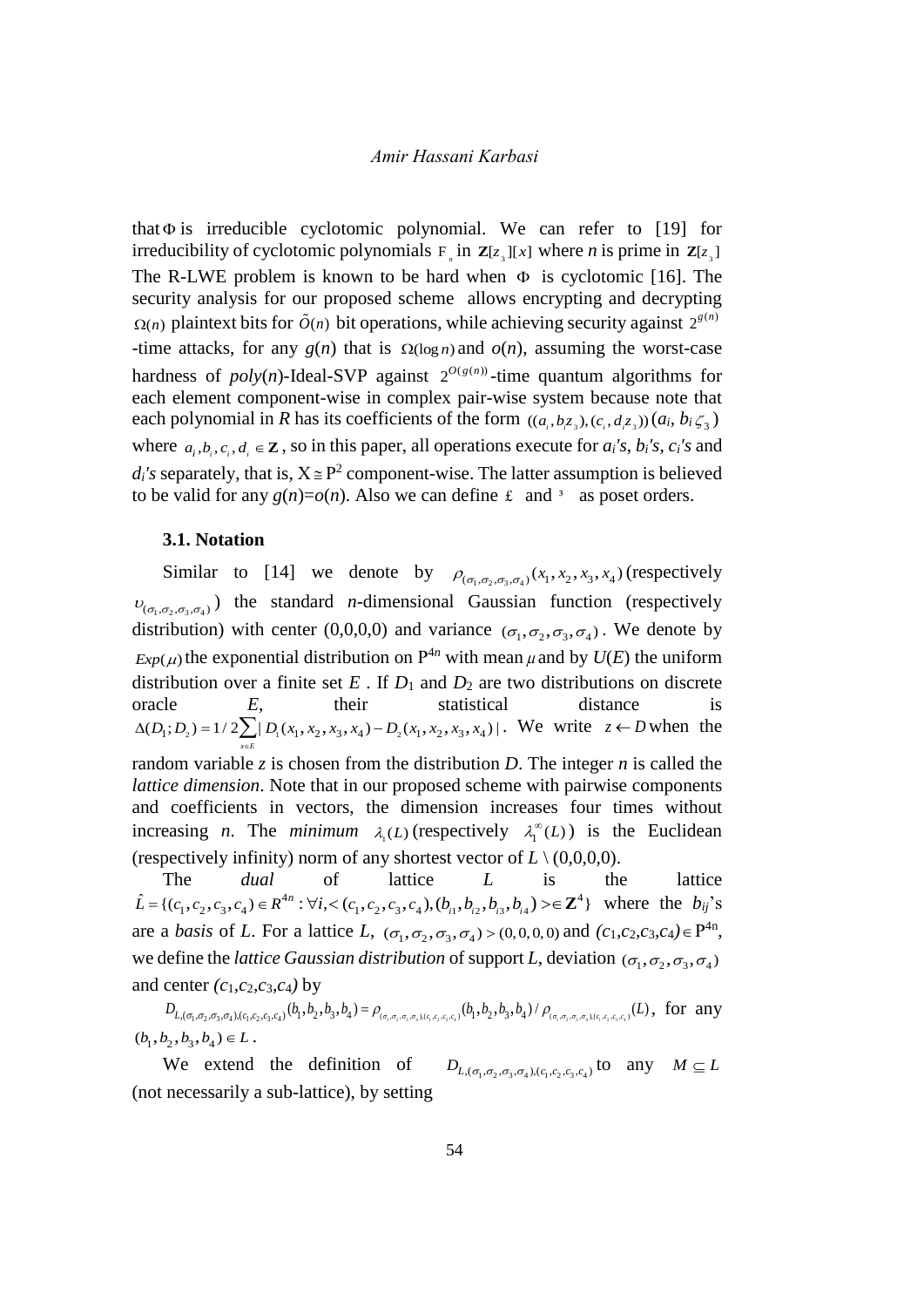that  $\Phi$  is irreducible cyclotomic polynomial. We can refer to [19] for irreducibility of cyclotomic polynomials  $F_n$  in  $\mathbf{Z}[z_3][x]$  where *n* is prime in  $\mathbf{Z}[z_3]$ The R-LWE problem is known to be hard when  $\Phi$  is cyclotomic [16]. The security analysis for our proposed scheme allows encrypting and decrypting  $\Omega(n)$  plaintext bits for  $\tilde{O}(n)$  bit operations, while achieving security against  $2^{g(n)}$ -time attacks, for any  $g(n)$  that is  $\Omega(\log n)$  and  $o(n)$ , assuming the worst-case hardness of  $poly(n)$ -Ideal-SVP against  $2^{O(g(n))}$ -time quantum algorithms for each element component-wise in complex pair-wise system because note that each polynomial in *R* has its coefficients of the form  $((a_i, b_i z_a), (c_i, d_i z_a))$   $(a_i, b_i \zeta_a)$ where  $a_i, b_i, c_i, d_i \in \mathbb{Z}$ , so in this paper, all operations execute for  $a_i$ 's,  $b_i$ 's,  $c_i$ 's and  $d_i$ 's separately, that is,  $X \cong P^2$  component-wise. The latter assumption is believed to be valid for any  $g(n)=o(n)$ . Also we can define  $\pm$  and <sup>3</sup> as poset orders.

#### **3.1. Notation**

Similar to [14] we denote by  $\rho_{(\sigma_1,\sigma_2,\sigma_3,\sigma_4)}(x_1,x_2,x_3,x_4)$  (respectively  $\nu_{(\sigma_1,\sigma_2,\sigma_3,\sigma_4)}$ ) the standard *n*-dimensional Gaussian function (respectively distribution) with center (0,0,0,0) and variance  $(\sigma_1, \sigma_2, \sigma_3, \sigma_4)$ . We denote by  $Exp(\mu)$  the exponential distribution on  $P^{4n}$  with mean  $\mu$  and by  $U(E)$  the uniform distribution over a finite set  $E$ . If  $D_1$  and  $D_2$  are two distributions on discrete oracle *E*, their statistical distance is **1** and  $D_2$  are two distributions on discrete<br>
oracle *E*, their statistical distance is<br>  $\Delta(D_1; D_2) = 1/2 \sum_{x \in E} |D_1(x_1, x_2, x_3, x_4) - D_2(x_1, x_2, x_3, x_4)|$ . We write *z* ← *D* when the random variable  $\zeta$  is chosen from the distribution  $D$ . The integer  $n$  is called the *lattice dimension*. Note that in our proposed scheme with pairwise components and coefficients in vectors, the dimension increases four times without increasing *n*. The *minimum*  $\lambda_1(L)$  (respectively  $\lambda_1^{\infty}(L)$ ) is the Euclidean (respectively infinity) norm of any shortest vector of  $L \setminus (0.0, 0.0)$ .

The *dual* of lattice *L* is the lattice { $(c_1, c_2, c_3, c_4$ }  $\in R^{4n}$  :  $\forall i, < (c_1, c_2, c_3, c_4)$ ,  $(b_{i1}, b_{i2}, b_{i3}, b_{i4}) > \in \mathbb{Z}^4$ } where the  $b_{ij}$ 's dia  $c_1, c_2, c_3, c_4$   $\in$   $R^{4n}$  :  $\forall i, < (c_1, c_2, c_3, c_4)$ ˆ pectively infinity) norm of any shortest vector of  $L \setminus (0,0,0)$ <br>
The *dual* of lattice *L* is<br>  $\{(c_1, c_2, c_3, c_4) \in R^{4n} : \forall i, < (c_1, c_2, c_3, c_4), (b_{i1}, b_{i2}, b_{i3}, b_{i4}) > \in \mathbb{Z}^4\}$ *n* (respectively infinity) norm of any shortest vector of  $L \setminus (0,0,0,0)$ .<br>
The *dual* of lattice  $L$  is the lattice<br>  $\hat{L} = \{(c_1, c_2, c_3, c_4) \in R^{4n} : \forall i, < (c_1, c_2, c_3, c_4), (b_{i1}, b_{i2}, b_{i3}, b_{i4}) > \in \mathbb{Z}^4\}$  where the  $b_{ij}$ are a *basis* of *L*. For a lattice *L*,  $(\sigma_1, \sigma_2, \sigma_3, \sigma_4) > (0, 0, 0, 0)$  and  $(c_1, c_2, c_3, c_4) \in P^{4n}$ , we define the *lattice Gaussian distribution* of support *L*, deviation  $(\sigma_1, \sigma_2, \sigma_3, \sigma_4)$ and center  $(c_1, c_2, c_3, c_4)$  by efine the *lattice Gaussian distribution* of support *L*, deviation  $(\sigma_1, \sigma_2, \sigma_3, \sigma_4)$ <br>center  $(c_1, c_2, c_3, c_4)$  by<br> $D_{L,(\sigma_1, \sigma_2, \sigma_3, \sigma_4), (c_1, c_2, c_3, c_4)}(b_1, b_2, b_3, b_4) = \rho_{(\sigma_1, \sigma_2, \sigma_3, \sigma_4), (c_1, c_2, c_3, c_4)}($ 

 $(b_1, b_2, b_3, b_4) \in L$ .

We extend the definition of  $D_{L,(\sigma_1,\sigma_2,\sigma_3,\sigma_4),(c_1,c_2,c_3,c_4)}$  to any  $M \subseteq L$ (not necessarily a sub-lattice), by setting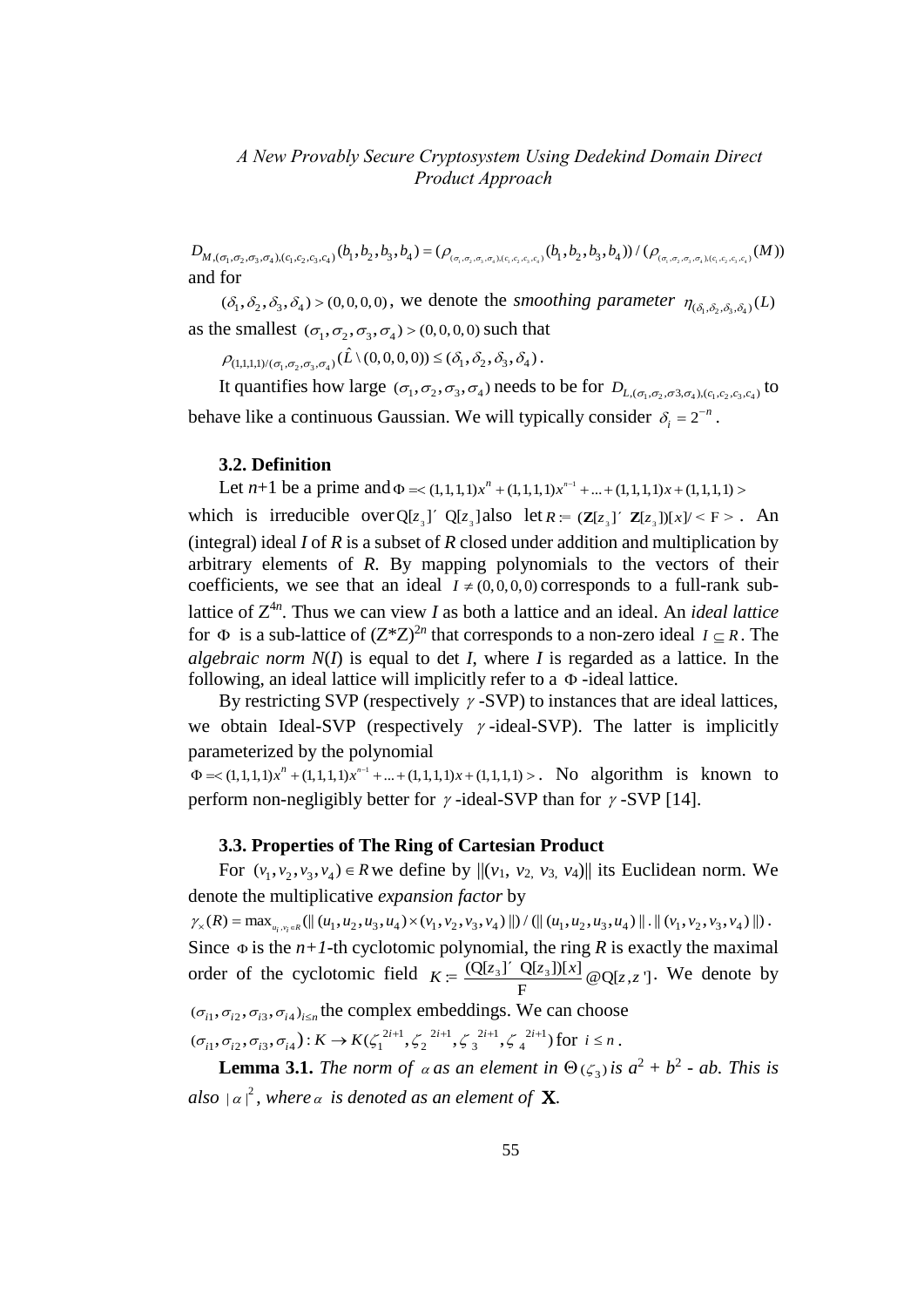*Product Approach*<br>  $D_{M,(\sigma_1,\sigma_2,\sigma_3,\sigma_4),(c_1,c_2,c_3,c_4)}(b_1,b_2,b_3,b_4) = (\rho_{(\sigma_1,\sigma_2,\sigma_3,\sigma_4),(c_1,c_2,c_3,c_4)}(b_1,b_2,b_3,b_4)) / (\rho_{(\sigma_1,\sigma_2,\sigma_3,\sigma_4),(c_1,c_2,c_3,c_4)}(M))$ and for

 $(\delta_1, \delta_2, \delta_3, \delta_4)$  > (0,0,0,0), we denote the *smoothing parameter*  $\eta_{(\delta_1, \delta_2, \delta_3, \delta_4)}(L)$ as the smallest  $(\sigma_1, \sigma_2, \sigma_3, \sigma_4)$  > (0,0,0,0) such that e smallest  $(\sigma_1, \sigma_2, \sigma_3, \sigma_4) > (0, 0, 0, 0)$  such that<br>  $\rho_{(1,1,1,1)/(\sigma_1, \sigma_2, \sigma_3, \sigma_4)}(\hat{L}\setminus(0,0,0,0)) \leq (\delta_1, \delta_2, \delta_3, \delta_4)$ .

It quantifies how large  $(\sigma_1, \sigma_2, \sigma_3, \sigma_4)$  needs to be for  $D_{L,(\sigma_1,\sigma_2,\sigma_3,\sigma_4),(c_1,c_2,c_3,c_4)}$  to behave like a continuous Gaussian. We will typically consider  $\delta_i = 2^{-n}$  $\delta_i = 2^{-n}$ .

#### **3.2. Definition**

Let  $n+1$  be a prime and  $\Phi = < (1,1,1,1)x^n + (1,1,1,1)x^{n-1}$  $\Phi$  = < (1,1,1,1)  $x^n$  + (1,1,1,1)  $x^{n-1}$  + ... + (1,1,1,1)  $x$  + (1,1,1,1) >

which is irreducible over  $Q[z_3]$  *Q* $[z_3]$  also let  $R = (Z[z_3] \cap Z[z_3])[x]/\langle F \rangle$ . An (integral) ideal *I* of *R* is a subset of *R* closed under addition and multiplication by arbitrary elements of *R*. By mapping polynomials to the vectors of their coefficients, we see that an ideal  $I \neq (0, 0, 0, 0)$  corresponds to a full-rank sublattice of  $Z^{4n}$ . Thus we can view *I* as both a lattice and an ideal. An *ideal lattice* for  $\Phi$  is a sub-lattice of  $(Z^*Z)^{2n}$  that corresponds to a non-zero ideal  $I \subseteq R$ . The *algebraic norm*  $N(I)$  is equal to det *I*, where *I* is regarded as a lattice. In the following, an ideal lattice will implicitly refer to a  $\Phi$ -ideal lattice.

By restricting SVP (respectively  $\gamma$ -SVP) to instances that are ideal lattices, we obtain Ideal-SVP (respectively  $\gamma$ -ideal-SVP). The latter is implicitly parameterized by the polynomial

1  $\text{parameterized by the polynomial } \Phi = \langle 1,1,1,1\rangle x^n + (1,1,1,1)x^{n-1} + ... + (1,1,1,1)x + (1,1,1,1) \rangle.$  No algorithm is known to perform non-negligibly better for  $\gamma$ -ideal-SVP than for  $\gamma$ -SVP [14].

#### **3.3. Properties of The Ring of Cartesian Product**

For  $(v_1, v_2, v_3, v_4) \in R$  we define by  $\|(v_1, v_2, v_3, v_4)\|$  its Euclidean norm. We denote the multiplicative *expansion factor* by 3.3. Properties of **The King of Cartesian Product**<br>
For  $(v_1, v_2, v_3, v_4) \in R$  we define by  $|| (v_1, v_2, v_3, v_4) ||$  its Euclidean norm. We<br>
denote the multiplicative *expansion factor* by<br>  $\gamma_x(R) = \max_{u_i, v_i \in R} (|| (u_1, u_2, u_3, u$ 

Since  $\Phi$  is the *n*+*1*-th cyclotomic polynomial, the ring *R* is exactly the maximal Since  $\Phi$  is the *n*+*1*-th cyclotomic polynomial, the ring *R* is exactor of the cyclotomic field  $K = \frac{(Q[z_3]^T Q[z_3])[x]}{F} \omega_{Q[z, z]}$ momial, the ring *R* is exactly the maximal<br>
<u>Q[z<sub>3</sub>]' Q[z<sub>3</sub>])[x]</u>  $\omega$  Q[z, z ]. We denote by  $(\sigma_{i1}, \sigma_{i2}, \sigma_{i3}, \sigma_{i4})_{i \leq n}$  the complex embeddings. We can choose plex embeddings. We<br> $2^{i+1}$ ,  $\zeta^{2i+1}$ ,  $\zeta^{2i+1}$ ,  $\zeta^{2i+1}$  $(\sigma_{i1}, \sigma_{i2}, \sigma_{i3}, \sigma_{i4})_{i \le n}$  the complex embeddings. We can choos  $(\sigma_{i1}, \sigma_{i2}, \sigma_{i3}, \sigma_{i4}) : K \to K(\zeta_1^{2i+1}, \zeta_2^{2i+1}, \zeta_3^{2i+1}, \zeta_4^{2i+1})$  for  $i \le n$ .

**Lemma 3.1.** The norm of  $\alpha$  as an element in  $\Theta$  ( $\zeta$ <sub>3</sub>) is  $a^2 + b^2$  - ab. This is also  $|a|^2$ , where  $a$  is denoted as an element of **X**.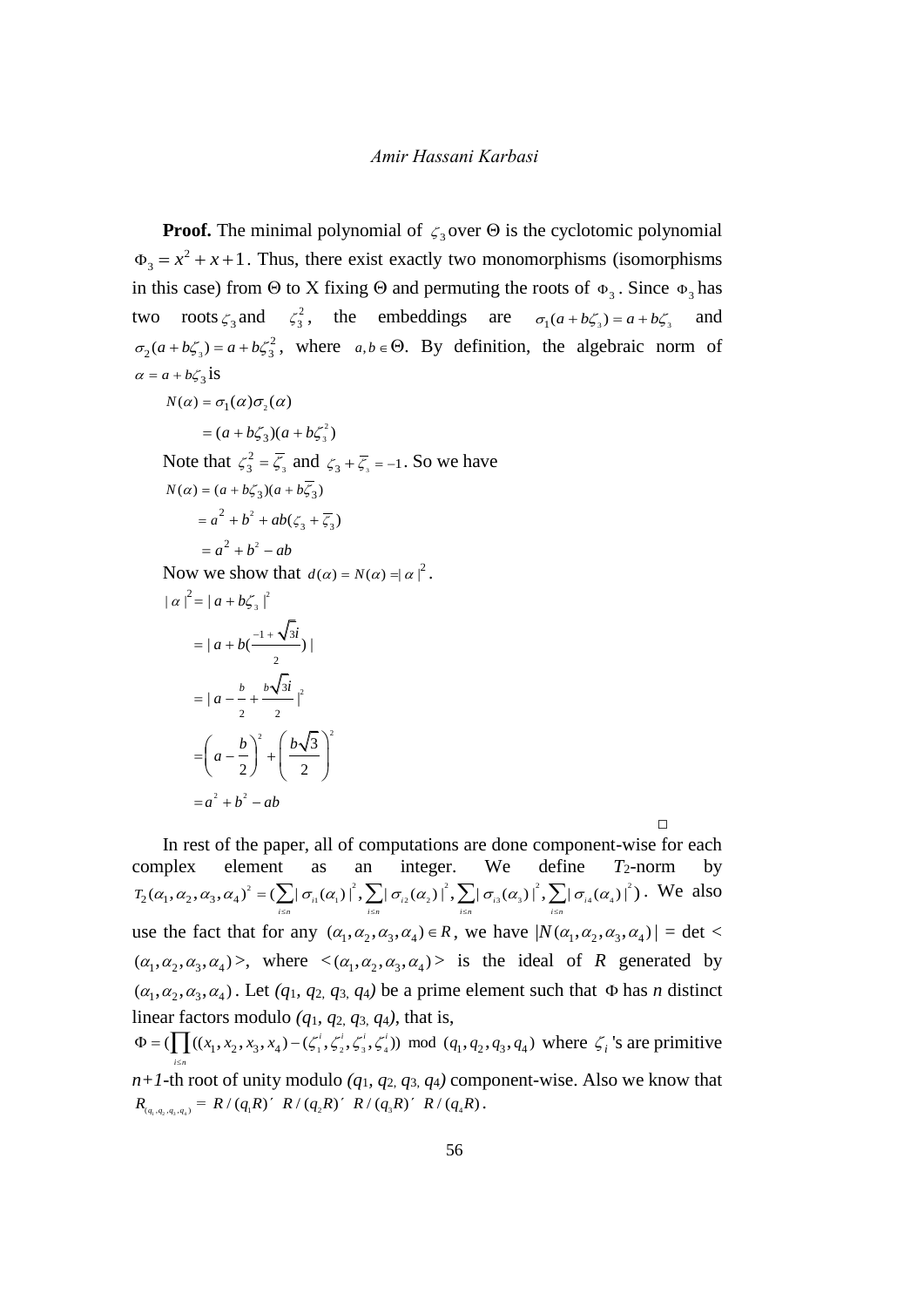**Proof.** The minimal polynomial of  $\zeta_3$  over  $\Theta$  is the cyclotomic polynomial  $\Phi_3 = x^2 + x + 1$ . Thus, there exist exactly two monomorphisms (isomorphisms in this case) from  $\Theta$  to X fixing  $\Theta$  and permuting the roots of  $\Phi_3$ . Since  $\Phi_3$  has two roots  $\zeta_3$  and  $\zeta_3^2$  $\zeta_3^2$ , the embeddings are  $\sigma_1(a+b\zeta_3) = a+b\zeta_3$ and 3  $\sigma_2(a+b\zeta_3) = a+b\zeta_3^2$ , where  $a,b \in \Theta$ . By definition, the algebraic norm of  $\alpha = a + b\zeta_3$ **is**  $N(\alpha) = \sigma_1(\alpha)\sigma_2(\alpha)$ 2  $=(a+b\zeta_3)(a+b\zeta_3^2)$ Note that  $\zeta_3^2 = \overline{\zeta}_3$ 2  $\zeta_3^2 = \overline{\zeta_3}$  and  $\zeta_3 + \overline{\zeta_3} = -1$ . So we have  $= a^{2} + b^{2} + ab(\zeta_{3} + \overline{\zeta}_{3})$  $= a^2 + b^2 - ab$  $N(\alpha) = (a + b\zeta_3)(a + b\overline{\zeta_3})$ Now we show that  $d(\alpha) = N(\alpha) = |\alpha|^2$ . 2 3  $3i_{12}$ <sup>2</sup>  $\left(b\sqrt{3}\right)^2$  $= a^2 + b^2 - ab$  $| \alpha |^2 = | \alpha + b \zeta_3 |$  $1 + \sqrt{3}$  $= | a + b \left( \frac{-1 + \sqrt{3i}}{2} \right) |$ 2 2  $= | a - \frac{b}{a} + \frac{b\sqrt{3i}}{a} |$  $\frac{1}{2}$  )  $\frac{1}{2}$  $=\left(a-\frac{b}{a}\right)^2+\left(\frac{b}{a}\right)^2$  $\left(a-\frac{b}{2}\right)^2+\left(\frac{b\sqrt{3}}{2}\right)^2$ 

In rest of the paper, all of computations are done component-wise for each complex element as an integer. We define  $T_2$ -norm by ment as an integer. We define  $T_2$ <br> $\sum_{i=1}^2 (-\sum |\sigma_i(\alpha_i)|^2) \sum |\sigma_i(\alpha_i)|^2) \sum |\sigma_i(\alpha_i)|^2$ In rest of the paper, all of computations are done component-wise for<br>complex element as an integer. We define  $T_2$ -norm<br> $T_2(\alpha_1, \alpha_2, \alpha_3, \alpha_4)^2 = (\sum_{i \le n} |\sigma_{i1}(\alpha_1)|^2, \sum_{i \le n} |\sigma_{i2}(\alpha_2)|^2, \sum_{i \le n} |\sigma_{i3}(\alpha_3)|^2, \sum_{i \le n$ . We also use the fact that for any  $(\alpha_1, \alpha_2, \alpha_3, \alpha_4) \in R$ , we have  $|N(\alpha_1, \alpha_2, \alpha_3, \alpha_4)| = \det \langle$  $(\alpha_1, \alpha_2, \alpha_3, \alpha_4)$ , where  $\langle (\alpha_1, \alpha_2, \alpha_3, \alpha_4) \rangle$  is the ideal of *R* generated by  $(\alpha_1, \alpha_2, \alpha_3, \alpha_4)$ . Let  $(q_1, q_2, q_3, q_4)$  be a prime element such that  $\Phi$  has *n* distinct linear factors modulo  $(q_1, q_2, q_3, q_4)$ , that is,  $u_2, u_3, u_4$ . Let  $(q_1, q_2, q_3, q_4)$  be a prime eighter s<br>ar factors modulo  $(q_1, q_2, q_3, q_4)$ , that is,<br> $(\prod (x_1, x_2, x_3, x_4) - (\zeta_1^i, \zeta_2^i, \zeta_3^i, \zeta_4^i)) \mod (q_1, q_2, q_3, q_4)$ linear factors modulo (*q*<sub>1</sub>, *q*<sub>2</sub>, *q*<sub>3</sub>, *q*<sub>4</sub>), that is,<br>  $\Phi = (\prod_{i \le n} ((x_1, x_2, x_3, x_4) - (\zeta_1^i, \zeta_2^i, \zeta_3^i, \zeta_4^i)) \mod (q_1, q_2, q_3, q_4)$  where  $\zeta_i$ 's are primitive ś

 $\Box$ 

 $n+1$ -th root of unity modulo  $(q_1, q_2, q_3, q_4)$  component-wise. Also we know that  $n+I$ -th root of unity modulo  $(q_1, q_2, q_3, q_4)$  comp<br>  $R_{(q_1, q_2, q_3, q_4)} = R/(q_1 R)' R/(q_2 R)' R/(q_3 R)' R/(q_4 R)$ .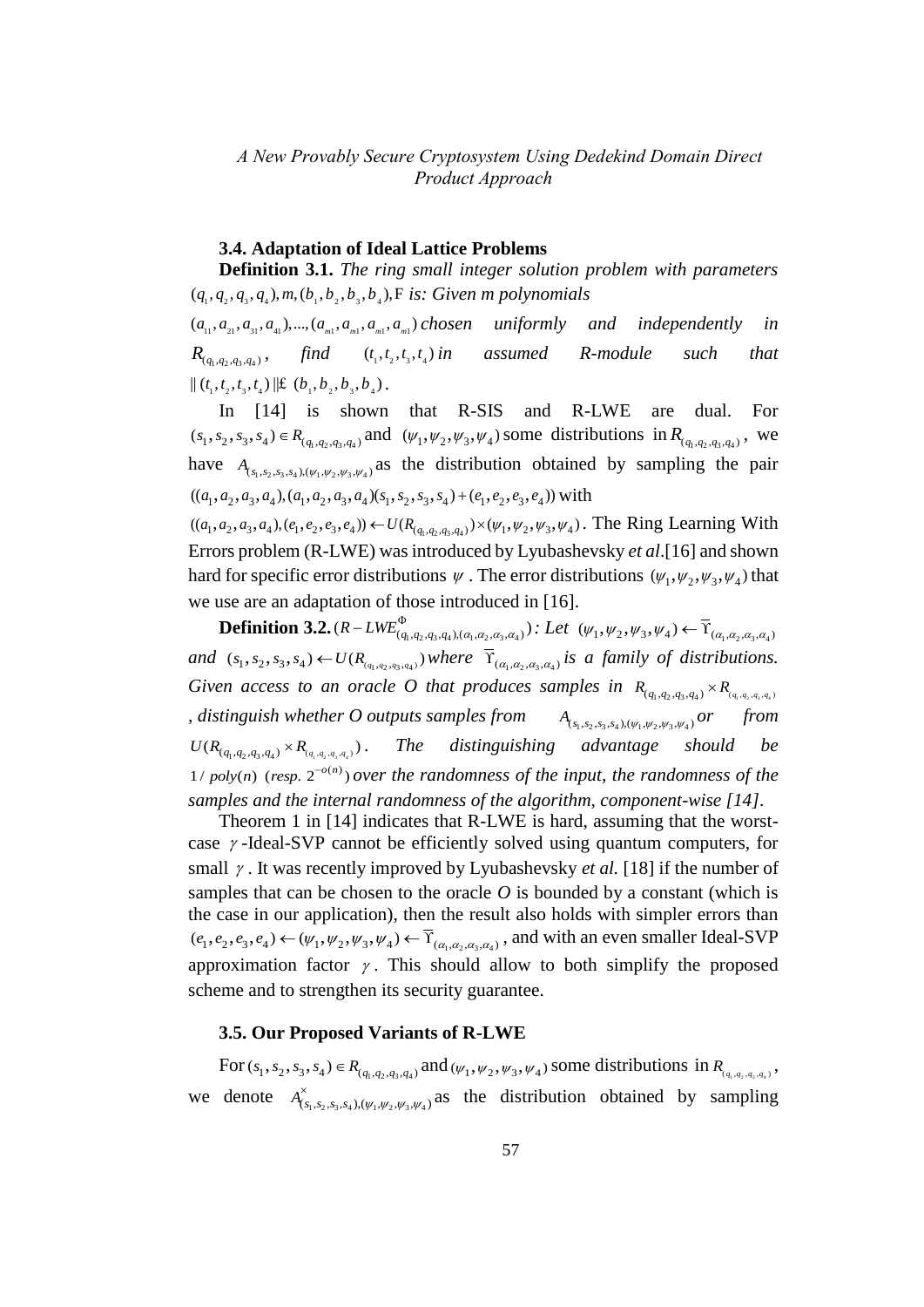#### **3.4. Adaptation of Ideal Lattice Problems**

**Definition 3.1.** *The ring small integer solution problem with parameters*   $11.$  The ring small linger solution  $P$   $(q_1, q_2, q_3, q_4)$ ,  $m, (b_1, b_2, b_3, b_4)$ ,  $F$  is: *Given m polynomials*  $(a_{11}, a_{21}, a_{31}, a_{41}), ..., (a_{m1}, a_{m1}, a_{m1}, a_{m1})$  chosen uniformly and independently in  $R_{(q_1, q_2, q_3, q_4)}$ *find*  $(t_1, t_2, t_3, t_4)$  *in* assumed *R*-module such that  $\| (t_1, t_2, t_3, t_4) \| \mathfrak{L} (b_1, b_2, b_3, b_4).$ 

In [14] is shown that R-SIS and R-LWE are dual. For  $(s_1, s_2, s_3, s_4) \in R_{(q_1, q_2, q_3, q_4)}$  and  $(\psi_1, \psi_2, \psi_3, \psi_4)$  some distributions in  $R_{(q_1, q_2, q_3, q_4)}$ , we have  $A_{(s_1,s_2,s_3,s_4),(\psi_1,\psi_2,\psi_3,\psi_4)}$  as the distribution obtained by sampling the pair  $((a_1,a_2,a_3,a_4),(a_1,a_2,a_3,a_4)(s_1,s_2,s_3,s_4)+(e_1,e_2,e_3,e_4))$  with  $((a_1, a_2, a_3, a_4), (a_1, a_2, a_3, a_4)(s_1, s_2, s_3, s_4) + (e_1, e_2, e_3, e_4))$  with  $((a_1, a_2, a_3, a_4), (a_1, a_2, a_3, a_4)(s_1, s_2, s_3, s_4) + (e_1, e_2, e_3, e_4))$  with<br>  $((a_1, a_2, a_3, a_4), (e_1, e_2, e_3, e_4)) \leftarrow U(R_{(q_1, q_2, q_3, q_4)}) \times (\psi_1, \psi_2, \psi_3, \psi_4)$ . The Ring Learning With

Errors problem (R-LWE) was introduced by Lyubashevsky *et al*.[16] and shown hard for specific error distributions  $\psi$ . The error distributions  $(\psi_1, \psi_2, \psi_3, \psi_4)$  that we use are an adaptation of those introduced in [16].

**Definition 3.2.**  $(R - LWE_{(q_1, q_2, q_3, q_4), (\alpha_1, \alpha_2, \alpha_3, \alpha_4)})$ : Let  $(\psi_1, \psi_2, \psi_3, \psi_4) \leftarrow \overline{\Upsilon}_{(\alpha_1, \alpha_2, \alpha_3, \alpha_4)}$  $(a_1, a_2, a_3, a_4, a_5, a_4, a_5, a_6, a_7, a_8, a_9)$ <br> *and*  $(s_1, s_2, s_3, s_4) \leftarrow U(R_{(a_1, a_2, a_3, a_4)})$  *where*  $\overline{Y}_{(\alpha_1, \alpha_2, \alpha_3, \alpha_4)}$  *is a family of distributions.* Given access to an oracle O that produces samples in  $R_{(q_1,q_2,q_3,q_4)} \times R_{(q_1,q_2,q_3,q_4)}$ *, distinguish whether O outputs samples from*  $A_{(s_1,s_2,s_3,s_4),(\psi_1,\psi_2,\psi_3,\psi_4)}$  or from  $U(R_{(q_1,q_2,q_3,q_4)} \times R_{(q_1,q_2,q_3,q_4)})$ . The distinguishing advantage should be  $1 / poly(n)$  (resp.  $2^{-o(n)}$ ) over the randomness of the input, the randomness of the *samples and the internal randomness of the algorithm, component-wise [14].*

Theorem 1 in [14] indicates that R-LWE is hard, assuming that the worstcase  $\gamma$ -Ideal-SVP cannot be efficiently solved using quantum computers, for small  $\gamma$ . It was recently improved by Lyubashevsky *et al.* [18] if the number of samples that can be chosen to the oracle *O* is bounded by a constant (which is the case in our application), then the result also holds with simpler errors than the case in our application), then the result also holds with simpler errors than  $(e_1, e_2, e_3, e_4) \leftarrow (\psi_1, \psi_2, \psi_3, \psi_4) \leftarrow \overline{\Upsilon}_{(\alpha_1, \alpha_2, \alpha_3, \alpha_4)}$ , and with an even smaller Ideal-SVP approximation factor  $\gamma$ . This should allow to both simplify the proposed scheme and to strengthen its security guarantee.

#### **3.5. Our Proposed Variants of R-LWE**

For  $(s_1, s_2, s_3, s_4) \in R_{(q_1, q_2, q_3, q_4)}$  and  $(\psi_1, \psi_2, \psi_3, \psi_4)$  some distributions in  $R_{(q_1, q_2, q_3, q_4)}$ , we denote  $A^{\times}_{(s_1,s_2,s_3,s_4),(\psi_1,\psi_2,\psi_3,\psi_4)}$  as the distribution obtained by sampling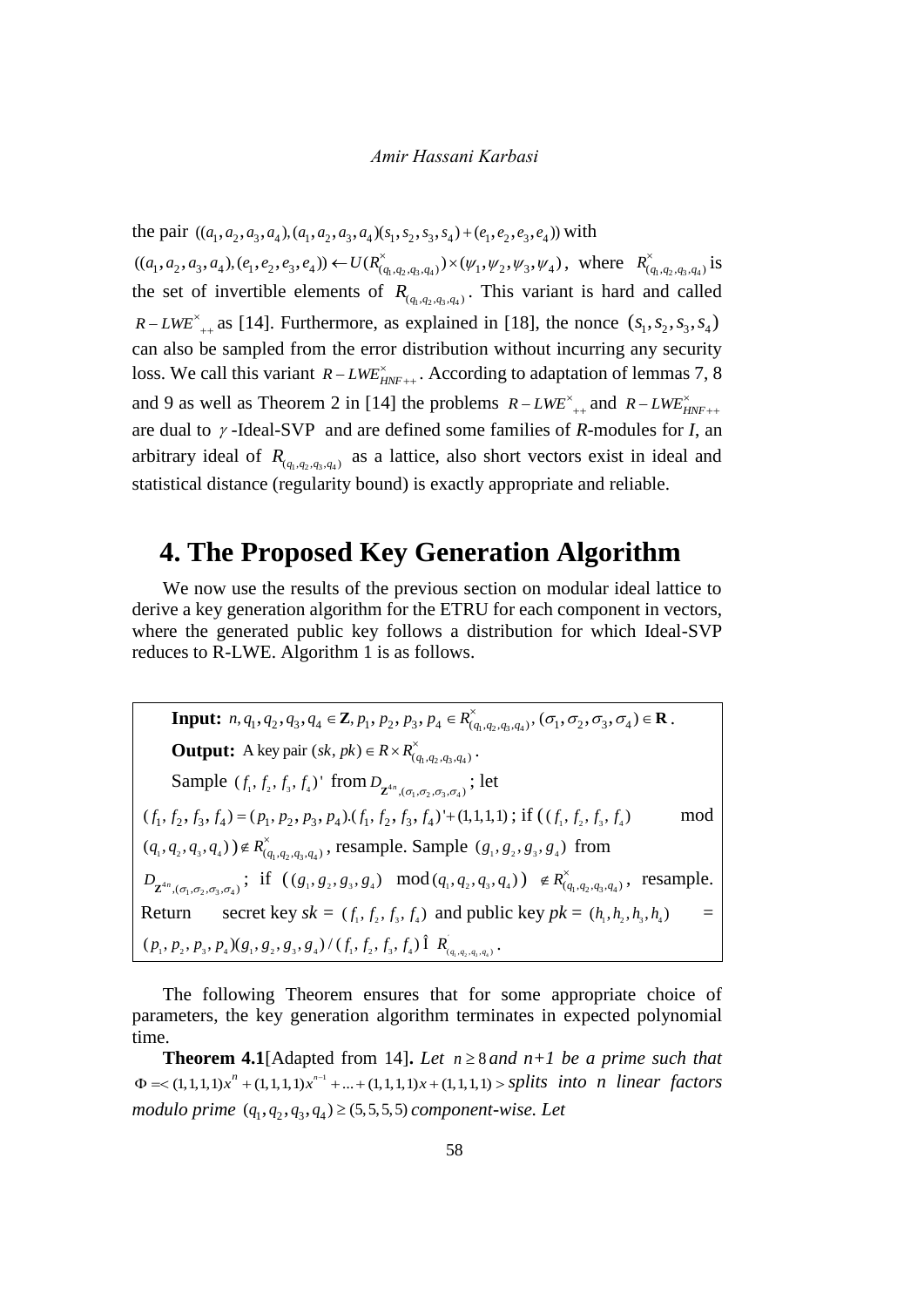the pair  $((a_1, a_2, a_3, a_4), (a_1, a_2, a_3, a_4)(s_1, s_2, s_3, s_4) + (e_1, e_2, e_3, e_4))$  with the pair  $((a_1, a_2, a_3, a_4), (a_1, a_2, a_3, a_4)(s_1, s_2, s_3, s_4) + (e_1, e_2, e_3, e_4))$  with<br>  $((a_1, a_2, a_3, a_4), (e_1, e_2, e_3, e_4)) \leftarrow U(R^{\times}_{(q_1, q_2, q_3, q_4)}) \times (\psi_1, \psi_2, \psi_3, \psi_4)$ , wh  $\times$ ,  $a_3$ ,  $a_4$ )( $s_1$ ,  $s_2$ ,  $s_3$ ,  $s_4$ ) + ( $e_1$ ,  $e_2$ ,  $e_3$ ,  $e_4$ )) with<br>  $\leftarrow U(R^{\times}_{(q_1,q_2,q_3,q_4)}) \times (\psi_1, \psi_2, \psi_3, \psi_4)$ , where  $R^{\times}_{(q_1,q_2,q_3,q_4)}$  is the set of invertible elements of  $R_{(q_1,q_2,q_3,q_4)}$ . This variant is hard and called  $R-LWE^*$ <sub>++</sub> as [14]. Furthermore, as explained in [18], the nonce  $(s_1, s_2, s_3, s_4)$ can also be sampled from the error distribution without incurring any security loss. We call this variant  $R-LWE_{HNF++}^{\times}$ . According to adaptation of lemmas 7, 8 and 9 as well as Theorem 2 in [14] the problems  $R-LWE^{\times}_{++}$  and  $R-LWE^{\times}_{HNF++}$ are dual to  $\gamma$ -Ideal-SVP and are defined some families of *R*-modules for *I*, an arbitrary ideal of  $R_{(q_1,q_2,q_3,q_4)}$  as a lattice, also short vectors exist in ideal and statistical distance (regularity bound) is exactly appropriate and reliable.

# **4. The Proposed Key Generation Algorithm**

We now use the results of the previous section on modular ideal lattice to derive a key generation algorithm for the ETRU for each component in vectors, where the generated public key follows a distribution for which Ideal-SVP reduces to R-LWE. Algorithm 1 is as follows.

**Input:**  $n, q_1, q_2, q_3, q_4 \in \mathbb{Z}, p_1, p_2, p_3, p_4 \in R^{\times}_{(q_1, q_2, q_3, q_4)}, (\sigma_1, \sigma_2, \sigma_3, \sigma_4) \in \mathbb{R}$ .  $\times$  $\in \mathbb{Z}, p_1, p_2, p_3, p_4 \in R^{\times}_{(q_1, q_2, q_3, q_4)}, (\sigma_1, \sigma_2, \sigma_3, \sigma_4) \in \mathbb{R}$ . **Output:** A key pair  $(sk, pk) \in R \times R^{\times}_{(q_1, q_2, q_3, q_4)}$ . Sample  $(f_1, f_2, f_3, f_4)$ ' from  $D_{\mathbf{Z}^{4n}, (\sigma_1, \sigma_2, \sigma_3, \sigma_4)}$ ; let Sample  $(f_1, f_2, f_3, f_4)$ <sup>'</sup> from  $D_{\mathbf{Z}^{4n}, (\sigma_1, \sigma_2, \sigma_3, \sigma_4)}$ ; let<br>  $(f_1, f_2, f_3, f_4) = (p_1, p_2, p_3, p_4) \cdot (f_1, f_2, f_3, f_4) + (1,1,1,1)$ ; if  $((f_1, f_2, f_3, f_4)$ mod  $(q_1, q_2, q_3, q_4)$ )  $\notin R^{\times}_{(q_1, q_2, q_3, q_4)}$ , resample. Sample  $(g_1, g_2, g_3, g_4)$  from  $D_{\mathbf{Z}^{4n},(\sigma_1,\sigma_2,\sigma_3,\sigma_4)}$ ; if  $((g_1, g_2, g_3, g_4) \mod (q_1, q_2, q_3, q_4)) \notin R^{\times}_{(q_1, q_2, q_3, q_4)}$ , resample. Return secret key  $sk = (f_1, f_2, f_3, f_4)$  and public key  $pk = (h_1, h_2, h_3, h_4)$  = Return secret key  $sk = (f_1, f_2, f_3, f_4)$  and publ<br>  $(p_1, p_2, p_3, p_4)(g_1, g_2, g_3, g_4) / (f_1, f_2, f_3, f_4)$   $\hat{I}$   $R'_{(q_1, q_2, q_3, q_4)}$ .

The following Theorem ensures that for some appropriate choice of parameters, the key generation algorithm terminates in expected polynomial time.

**Theorem 4.1**[Adapted from 14]. Let  $n \ge 8$  and  $n+1$  be a prime such that 1 **Theorem 4.1**[Adapted from 14]. *Let*  $n \ge 8$  *and*  $n+1$  *be a prime such that*  $\Phi \le (1,1,1,1)x^n + (1,1,1,1)x^{n-1} + ... + (1,1,1,1)x + (1,1,1,1) >$  *splits into n linear factors modulo prime*  $(q_1, q_2, q_3, q_4) \ge (5, 5, 5, 5)$  *component-wise. Let*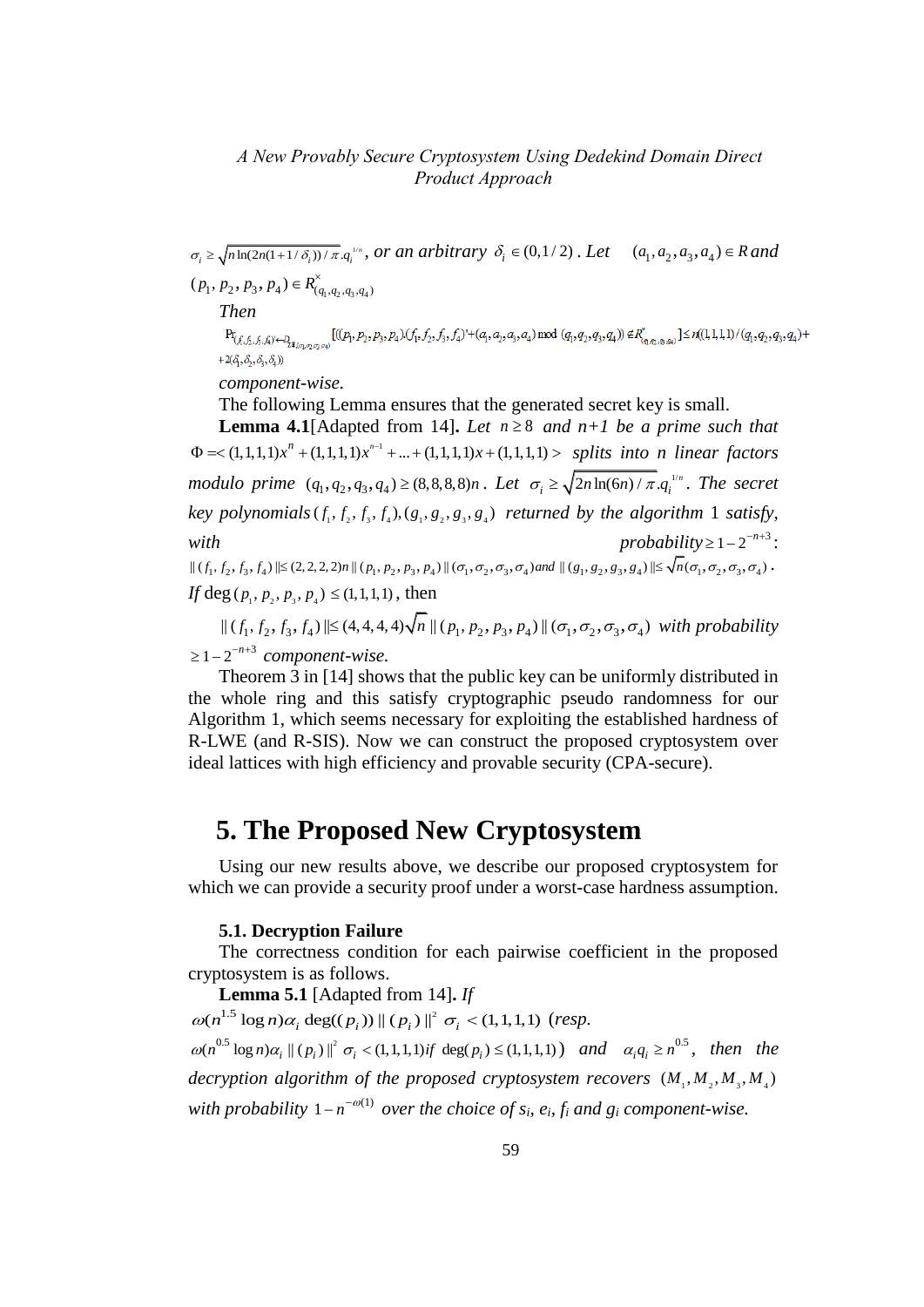$\sigma_i \ge \sqrt{n \ln(2n(1+1/\delta_i))/\pi} a_i^{\nu_i n}$ , or an arbitrary  $\delta_i \in (0,1/2)$ . Let  $(a_1, a_2, a_3, a_4) \in R$  and

 $(p_1, p_2, p_3, p_4) \in R^{\times}_{(q_1, q_2, q_3, q_4)}$ 

 $\label{eq:3.1} \begin{split} & The n \\ & \text{Pr}_{(f_1,f_2,f_3,f_4) \leftarrow D_{2\sharp_{(c_1,c_2,c_3,c_4)}}}[(\ell_1,p_2,p_3,p_4) (f_1,f_2,f_3,f_4)^{\iota} + (a_1,a_2,a_3,a_4) \bmod (q_1,q_2,q_3,q_4)) \not \in R^{\times}_{(q_1,q_2,q_3,q_4)}] \leq n ((1,1,1) \cdot (q_1,q_2,q_3,q_4) + n_1 (q_1,q_2,q_3,q_4) \cdot (q_1,q_2,q_3,q_4)) \not \in R^{\times$  $+2(\delta, \delta, \delta, \delta)$ 

*component-wise.*

The following Lemma ensures that the generated secret key is small. **Lemma 4.1**[Adapted from 14]. Let  $n \geq 8$  and  $n+1$  be a prime such that 1 **Lemma 4.1**[Adapted from 14]. *Let*  $n \ge 8$  *and*  $n+1$  *be a prime such that*  $\Phi$  = < (1,1,1,1) $x^n$  + (1,1,1,1) $x^{n-1}$  + ... + (1,1,1,1) $x$  + (1,1,1,1) > *splits into n linear factors modulo prime*  $(q_1, q_2, q_3, q_4) \ge (8, 8, 8, 8)n$ . Let  $\sigma_i \ge \sqrt{2n \ln(6n) / \pi}. q_i^{\frac{1}{n}}$ . The secret  $key$  polynomials  $(f_1, f_2, f_3, f_4), (g_1, g_2, g_3, g_4)$  returned by the algorithm 1 satisfy, *with probability*  $\geq 1 - 2^{-n+3}$ :  $\begin{aligned} \textit{if all } \mathcal{F}_1 \textit{if } \mathcal{F}_2 \textit{if } \mathcal{F}_3 \textit{if } \mathcal{F}_4 \textit{if } \mathcal{F}_5 \textit{if } \mathcal{F}_6 \textit{if } \mathcal{F}_7 \textit{if } \mathcal{F}_8 \textit{if } \mathcal{F}_9 \textit{if } \mathcal{F}_9 \textit{if } \mathcal{F}_9 \textit{if } \mathcal{F}_9 \textit{if } \mathcal{F}_9 \textit{if } \mathcal{F}_9 \textit{if } \mathcal{F}_9 \textit{if } \mathcal{F}_9 \textit{if }$ 

*If* deg  $(p_1, p_2, p_3, p_4) \le (1, 1, 1, 1)$ , then

 $19, 5, 3, 3, 4, 7$  ||- (2, 2, 2, 2, 1) || ( $P_1, P_2, P_3, P_4$ ) || ( $P_1, P_2, P_3, P_4$ ) || ( $P_1, P_2, P_3, P_4$ ) || ( $P_1, P_2, P_3, P_4$ ) || ( $\sigma_1, \sigma_2, \sigma_3, \sigma_4$ ) with probability  $\geq 1-2^{-n+3}$  component-wise.

Theorem 3 in [14] shows that the public key can be uniformly distributed in the whole ring and this satisfy cryptographic pseudo randomness for our Algorithm 1, which seems necessary for exploiting the established hardness of R-LWE (and R-SIS). Now we can construct the proposed cryptosystem over ideal lattices with high efficiency and provable security (CPA-secure).

# **5. The Proposed New Cryptosystem**

Using our new results above, we describe our proposed cryptosystem for which we can provide a security proof under a worst-case hardness assumption.

#### **5.1. Decryption Failure**

The correctness condition for each pairwise coefficient in the proposed cryptosystem is as follows.

**Lemma 5.1** [Adapted from 14]**.** *If*   $1.5$   $\log n$   $\alpha$   $\deg((n)$ )  $\log n)$ **Lemma 5.1** [Adapted from 14]. *If*  $\omega(n^{1.5} \log n) \alpha_i \deg((p_i)) || (p_i) ||^2 \sigma_i < (1,1,1,1)$  (resp.  $0.5$  1  $\epsilon$   $\approx$   $\epsilon$   $\approx$   $1/\epsilon$   $\approx$   $\lambda$   $11^2$  $\omega(n^{1.5} \log n) \alpha_i \deg((p_i)) || (p_i) ||^2 \sigma_i < (1,1,1,1)$  *(resp.*<br>  $\omega(n^{0.5} \log n) \alpha_i || (p_i) ||^2 \sigma_i < (1,1,1,1)$  *if*  $\deg(p_i) \le (1,1,1,1)$  *and*  $\alpha_i q_i \ge n^{0.5}$ *, then the* decryption algorithm of the proposed cryptosystem recovers  $(M_1, M_2, M_3, M_4)$ *with probability*  $1 - n^{-\omega(1)}$  *over the choice of s<sub>i</sub>, e<sub>i</sub>, f<sub>i</sub> and g<sub>i</sub> component-wise.*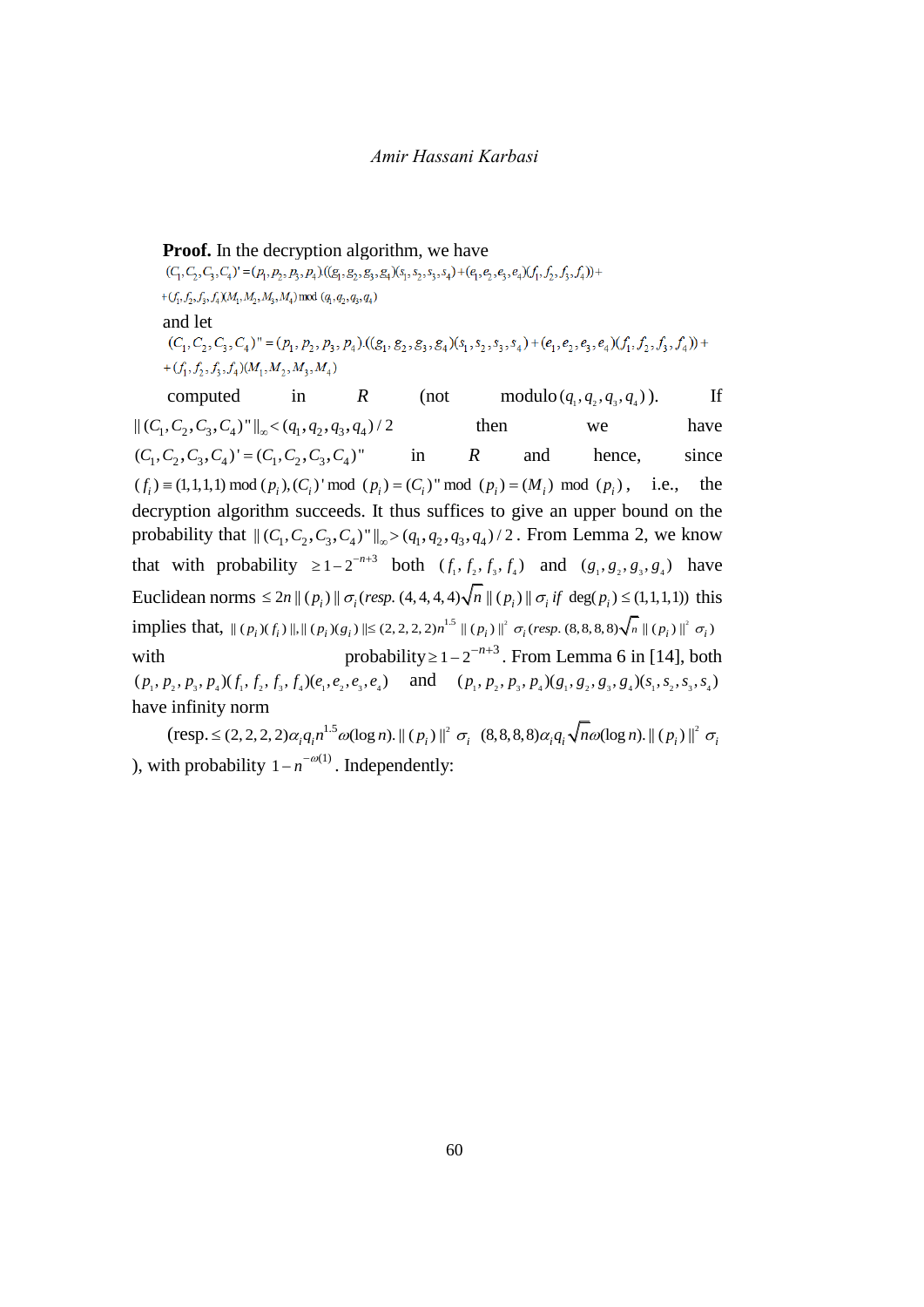**Proof.** In the decryption algorithm, we have  $(C_1, C_2, C_3, C_4) = (p_1, p_2, p_3, p_4) ((g_1, g_2, g_3, g_4) (s_1, s_2, s_3, s_4) + (e_1, e_2, e_3, e_4) (f_1, f_2, f_3, f_4)) +$ + $(f_1, f_2, f_3, f_4)$ (M<sub>1</sub>, M<sub>2</sub>, M<sub>3</sub>, M<sub>4</sub>) mod  $(q_1, q_2, q_3, q_4)$ and let  $(C_1, C_2, C_3, C_4)'' = (p_1, p_2, p_3, p_4).((g_1, g_2, g_3, g_4)(s_1, s_2, s_3, s_4) + (e_1, e_2, e_3, e_4)(f_1, f_2, f_3, f_4)) +$ + $(f_1, f_2, f_3, f_4)$  $(M_1, M_2, M_3, M_4)$  $computed \t in \t R \t (not$ modulo  $(q_1, q_2, q_3, q_4)$ ). ). If computed in *K*<br> $\|(C_1, C_2, C_3, C_4)''\|_{\infty} < (q_1, q_2, q_3, q_4) / 2$ then we have 1 2 3 4 1 2 3 4 ( , ) ' ( , )" *C C C C C C C C* , , , , = (C<sub>1</sub>, C<sub>2</sub>, C<sub>3</sub>, C<sub>4</sub>) ' = (C<sub>1</sub>, C<sub>2</sub>, C<sub>3</sub>, C<sub>4</sub>)" in R and hence, since  $(f_i) = (1,1,1,1) \mod (p_i)$ , (C<sub>i</sub>) ''mod ( $p_i$ ) = (C<sub>i</sub>)" mod ( $p_i$ ) = (M<sub>i</sub>) mod ( $p_i$ ), i.e., the in *R* and hence, since decryption algorithm succeeds. It thus suffices to give an upper bound on the decryption algorithm succeeds. It thus suffices to give an upper bound on the probability that  $||(C_1, C_2, C_3, C_4)||_{\infty} > (q_1, q_2, q_3, q_4)/2$ . From Lemma 2, we know that with probability  $\ge 1 - 2^{-n+3}$  both  $(f_1, f_2, f_3, f_4)$  and  $(g_1, g_2, g_3, g_4)$  have<br> *Euclidean norms*  $\le 2n || (p_i) || \sigma_i (resp. (4, 4, 4, 4) \sqrt{n} || (p_i) || \sigma_i if deg(p_i) \le (1, 1, 1, 1))$  this<br> *implies that*,  $|| (p_i)(f_i) ||, || (p_i)(g_i) || \le (2, 2$ that with probability  $\geq 1 - 2^{-n+3}$  both  $(f_1, f_2, f_3, f_4)$  and  $(g_1, g_2, g_3, g_4)$  have Euclidean norms  $\leq 2n || (p_i) || \sigma_i (resp. (4,4,4,4) \sqrt{n} || (p_i) || \sigma_i if \deg(p_i) \leq (1,1,1,1))$  thi<br>implies that,  $|| (p_i)(f_i) ||, || (p_i)(g_i) || \leq (2,2,2,2) n^{1.5} || (p_i) ||^2 \sigma_i (resp. (8,8,8,8) \sqrt{n} || (p_i) ||^2 \sigma_i)$ with probability  $\geq 1 - 2^{-n+3}$ . From Lemma 6 in [14], both with probability  $\ge 1 - 2$  . From Lemma 6 in [14], both  $(p_1, p_2, p_3, p_4) (f_1, f_2, f_3, f_4) (e_1, e_2, e_3, e_4)$  and  $(p_1, p_2, p_3, p_4) (g_1, g_2, g_3, g_4) (s_1, s_2, s_3, s_4)$ have infinity norm 2

 $(\text{resp.} \leq (2, 2, 2, 2)\alpha_i q_i n^{1.5} \omega(\log n). || (p_i) ||^2)$  $\leq$  (2, 2, 2, 2) $\alpha_i q_i n^{1.5} \omega(\log n)$ .  $\| (p_i) \|^2 \sigma_i$  (8  $(8,8,8,8)\alpha_i q_i \sqrt{n\omega(\log n)}$ .  $\| (p_i) \|^2 \sigma_i$ ), with probability  $1 - n^{-\omega(1)}$ . Independently: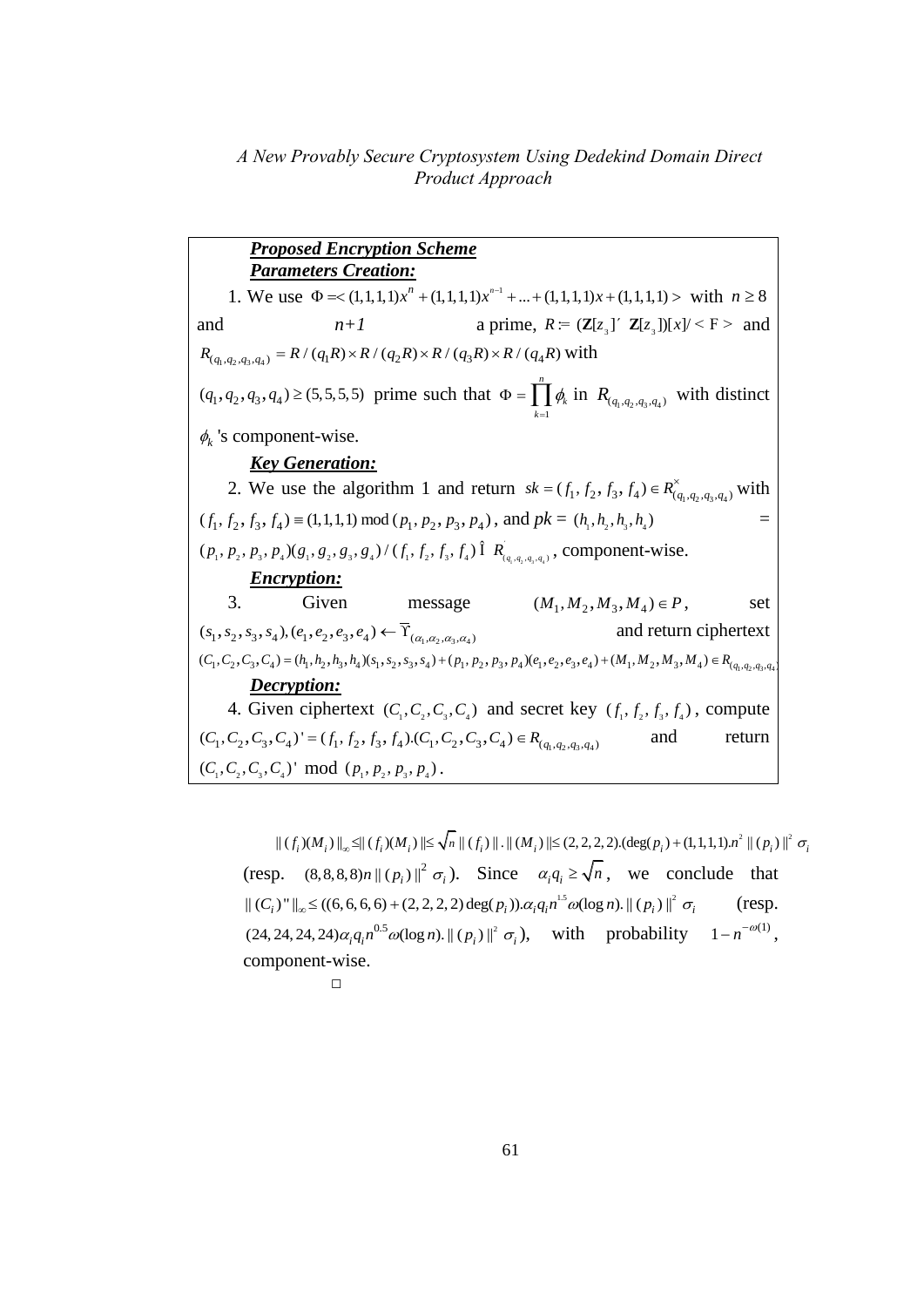*Proposed Encryption Scheme Parameters Creation:* 1. We use  $\Phi = \langle 1,1,1,1 \rangle x^n + (1,1,1,1) x^{n-1}$ **ters Creation:**<br>  $Φ = < (1,1,1,1)x^n + (1,1,1,1)x^{n-1} + ... + (1,1,1,1)x + (1,1,1,1) >$  with  $n ≥ 8$ and  $n+1$  a prime,  $R = (\mathbf{Z}[z_3])^{r} \mathbf{Z}[z_3])[x]/\leq F >$  and and  $n+1$  a prime,  $R = (\mathbb{Z}[z])$ <br>  $R_{(q_1, q_2, q_3, q_4)} = R / (q_1 R) \times R / (q_2 R) \times R / (q_3 R) \times R / (q_4 R)$  with  $(q_1, q_2, q_3, q_4) \ge (5, 5, 5, 5)$  prime such that 1 *n k k*  $\phi$  $\Phi = \prod_{k=1}^{n} \phi_k$  in  $R_{(q_1, q_2, q_3, q_4)}$  with distinct  $\phi_k$ 's component-wise. *Key Generation:* 2. We use the algorithm 1 and return  $sk = (f_1, f_2, f_3, f_4) \in R^{\times}_{(q_1, q_2, q_3, q_4)}$  with  $(f_1, f_2, f_3, f_4) \equiv (1, 1, 1, 1) \bmod (p_1, p_2, p_3, p_4)$ , and  $pk = (h_1, h_2, h_3, h_4)$  =  $(f_1, f_2, f_3, f_4) \equiv (1, 1, 1, 1) \mod (p_1, p_2, p_3, p_4)$ , and  $pk = (h_1, h_2, h_3, h_4)$ <br> $(p_1, p_2, p_3, p_4) (g_1, g_2, g_3, g_4) / (f_1, f_2, f_3, f_4) \hat{I} R_{(q_1, q_2, q_3, q_4)}$ , component-wise. *Encryption:* 3. Given message  $(M_1, M_2, M_3, M_4) \in P$ , , set  $(s_1, s_2, s_3, s_4), (e_1, e_2, e_3, e_4) \leftarrow \overline{\Upsilon}_{(\alpha_1, \alpha_2, \alpha_3, \alpha_4)}$ and return ciphertext 3. Given message  $(s_1, s_2, s_3, s_4), (e_1, e_2, e_3, e_4) \leftarrow \overline{\Upsilon}_{(\alpha_1, \alpha_2, \alpha_3, \alpha_4)}$  and return ciphertext  $(C_1, C_2, C_3, C_4) = (h_1, h_2, h_3, h_4)(s_1, s_2, s_3, s_4) + (p_1, p_2, p_3, p_4)(e_1, e_2, e_3, e_4) + (M_1, M_2, M_3, M_4) \in R_{(q_1, q_2,$ *Decryption:* 4. Given ciphertext  $(C_1, C_2, C_3, C_4)$  and secret key  $(f_1, f_2, f_3, f_4)$ , compute 4. Given ciphertext  $(C_1, C_2, C_3, C_4)$  and secret key<br> $(C_1, C_2, C_3, C_4) = (f_1, f_2, f_3, f_4) \cdot (C_1, C_2, C_3, C_4) \in R_{(q_1, q_2, q_3, q_4)}$ and return  $(C_1, C_2, C_3, C_4)$ ' mod  $(p_1, p_2, p_3, p_4)$ .

 $\Vert \left( f_{i}\right) \!\! \left( M_{i}\right) \Vert_{\infty} \!\leq \!\! \Vert \left( f_{i}\right) \!\! \left( M_{i}\right) \Vert \!\! \leq \!\! \sqrt{n} \, \Vert \left( f_{i}\right) \Vert .\Vert \left( M_{i}\right) \Vert \!\! \leq \! (2,2,2,2).(\deg(p_{i})\!+\!(1,1,1,1).n^{2} \, \Vert \left( p_{i}\right) \Vert ^{2} \, \sigma_{i}$ (resp.  $(8,8,8,8)n \|(p_i)\|^2 \sigma_i$ ). Since  $\alpha_i q_i \ge \sqrt{n}$ , we conclude that  $||(C_i)^*||_{\infty} \le ((6,6,6,6) + (2,2,2,2) \deg(p_i)) \cdot \alpha_i q_i n^{1.5} \omega(\log n) \cdot ||(p_i)||^2 \sigma_i$  (resp.  $||(C_i)^*||_{\infty} \le ((6, 6, 6, 6) + (2, 2, 2, 2) \deg(p_i)). \alpha_i q_i n^{1.5} \omega(\log n). || (p_i) ||^2 \sigma_i$  $0.5$   $\Omega$   $(100 \text{ m})$   $\frac{11}{2}$   $(m)$   $\frac{11^2}{2}$  $(24, 24, 24, 24)\alpha_i q_i n^{0.5} \omega(\log n)$ .  $\|(p_i)\|^2 \sigma_i$ , with probability  $1 - n^{-\omega(1)}$ , component-wise.

$$
\qquad \qquad \Box
$$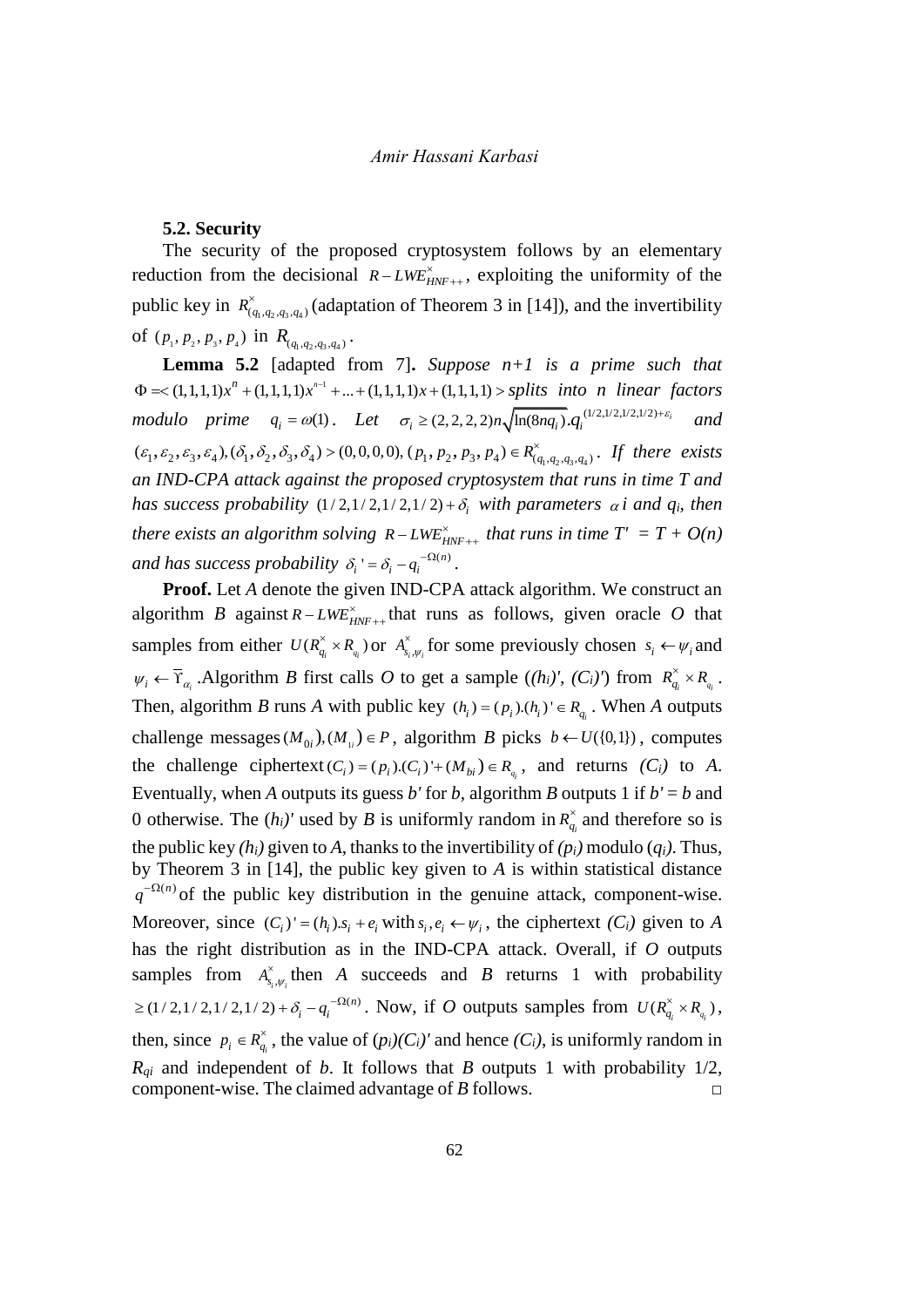#### **5.2. Security**

The security of the proposed cryptosystem follows by an elementary reduction from the decisional  $R-LWE_{HNF++}^{\times}$ , exploiting the uniformity of the public key in  $R^{\times}_{(q_1,q_2,q_3,q_4)}$  (adaptation of Theorem 3 in [14]), and the invertibility of  $(p_1, p_2, p_3, p_4)$  in  $R_{(q_1, q_2, q_3, q_4)}$ .

**Lemma 5.2** [adapted from 7]**.** *Suppose n+1 is a prime such that*  1 **Lemma 5.2** [adapted from 7]. *Suppose*  $n+1$  *is a prime such that*  $\Phi$  = < (1,1,1,1) $x^n$  + (1,1,1,1) $x^{n-1}$  + ... + (1,1,1,1) $x$  + (1,1,1,1) > *splits into n linear factors modulo prime*  $q_i = \omega(1)$ . Let  $\sigma_i \geq (2, 2, 2, 2)n \sqrt{\ln(8nq_i)} \cdot q_i^{((12,1/2,1/2,1/2)+\epsilon_i)}$  $\sum_{i} \ge (2, 2, 2, 2) n \sqrt{\ln(8nq_i)} \cdot q_i$  $\sigma_i \geq (2,2,2,2)n \sqrt{\ln(8nq_i)} \cdot q_i^{(1/2,1/2,1/2,1/2)+\varepsilon}$ *and*   $\begin{aligned} \n\varphi \sim (1,1,1,1)x + (1,1,1,1)x + ... + (1,1,1,1)x + (1,1,1,1) \geq sptits \quad \text{and} \\ \n\text{modulo} \quad & \text{prime} \quad q_i = \omega(1). \quad \text{Let} \quad \sigma_i \geq (2,2,2,2)\n\sqrt{\ln(8nq_i)} \cdot q_i^{(1)} \cdot \frac{1}{\sqrt{2}} \cdot \frac{1}{\sqrt{2}} \cdot \frac{1}{\sqrt{2}} \cdot \frac{1}{\sqrt{2}} \cdot \frac{1}{\sqrt{2}} \cdot \frac{1}{\sqrt{2}} \cdot \frac{1}{\sqrt{2$  $\alpha_{q_1,q_2,q_3,q_4}^{\prime}$ . If there exists *an IND-CPA attack against the proposed cryptosystem that runs in time T and has success probability*  $(1/2,1/2,1/2,1/2) + \delta$ <sub>*i*</sub> with parameters  $\alpha$ *i* and  $q$ <sup>*i*</sup>, then *there exists an algorithm solving*  $R$  –  $LWE_{HNF++}^{\times}$  *that runs in time*  $T' = T + O(n)$ *and has success probability*  $\delta_i$ <sup>*'*</sup> =  $\delta_i$  –  $q_i^{-\Omega(n)}$ .

**Proof.** Let *A* denote the given IND-CPA attack algorithm. We construct an algorithm *B* against  $R - LWE_{HNF++}^*$  that runs as follows, given oracle *O* that samples from either  $U(R_{q_i}^{\times} \times R_{q_i})$  or  $A_{s_i,\psi_i}^{\times}$  for some previously chosen  $s_i \leftarrow \psi_i$  and  $\psi_i \leftarrow \overline{Y}_{\alpha_i}$ . Algorithm *B* first calls *O* to get a sample  $((h_i)', (C_i)')$  from  $R_{q_i}^{\times} \times R_{q_i}$ . Then, algorithm *B* runs *A* with public key  $(h_i) = (p_i) \cdot (h_i)' \in R_{q_i}$ . When *A* outputs challenge messages  $(M_{0i}), (M_{1i}) \in P$ , algorithm *B* picks  $b \leftarrow U(\{0,1\})$ , computes the challenge ciphertext  $(C_i) = (p_i) \cdot (C_i)^+ \cdot (M_{bi}) \in R_{q_i}$ , and returns  $(C_i)$  to *A*. Eventually, when *A* outputs its guess *b'* for *b*, algorithm *B* outputs 1 if  $b' = b$  and 0 otherwise. The  $(h_i)'$  used by *B* is uniformly random in  $R_{q_i}^{\times}$  and therefore so is the public key  $(h_i)$  given to A, thanks to the invertibility of  $(p_i)$  modulo  $(q_i)$ . Thus, by Theorem 3 in [14], the public key given to *A* is within statistical distance  $q^{-\Omega(n)}$  of the public key distribution in the genuine attack, component-wise. Moreover, since  $(C_i)' = (h_i) . s_i + e_i$  with  $s_i, e_i \leftarrow \psi_i$ , the ciphertext  $(C_i)$  given to *A* has the right distribution as in the IND-CPA attack. Overall, if *O* outputs samples from  $A_{s_i,\psi_i}^{\times}$  then *A* succeeds and *B* returns 1 with probability  $\ge$  (1/2,1/2,1/2,1/2) +  $\delta_i - q_i^{-\Omega(n)}$ . Now, if *O* outputs samples from  $U(R_{q_i}^{\times} \times R_{q_i})$ , then, since  $p_i \in R_{q_i}^{\times}$ , the value of  $(p_i)(C_i)'$  and hence  $(C_i)$ , is uniformly random in  $R_{qi}$  and independent of *b*. It follows that *B* outputs 1 with probability 1/2, component-wise. The claimed advantage of *B* follows. □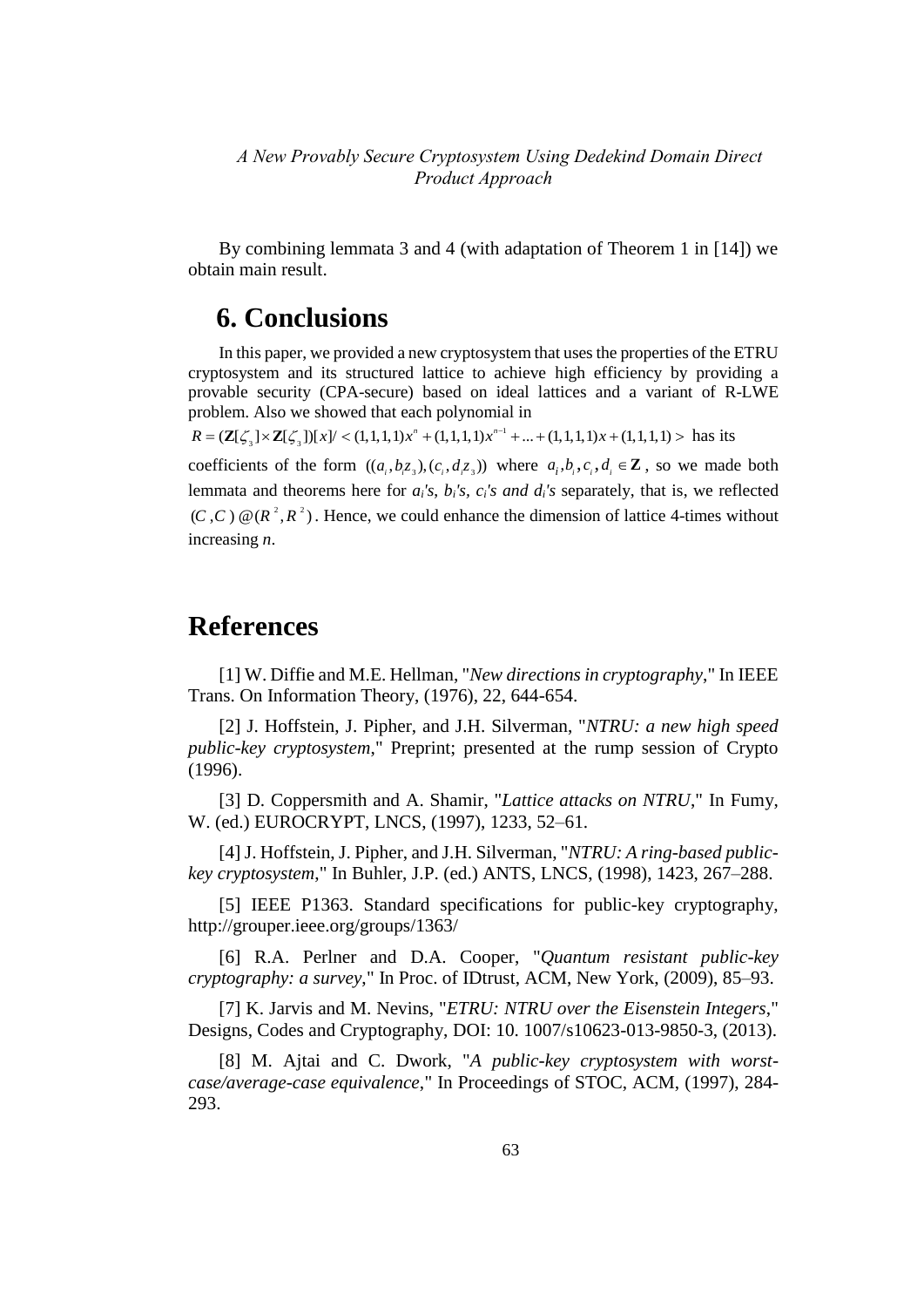By combining lemmata 3 and 4 (with adaptation of Theorem 1 in [14]) we obtain main result.

## **6. Conclusions**

In this paper, we provided a new cryptosystem that uses the properties of the ETRU cryptosystem and its structured lattice to achieve high efficiency by providing a provable security (CPA-secure) based on ideal lattices and a variant of R-LWE problem. Also we showed that each polynomial in brovable security (CPA-secure) based on ideal lattices and a variant of R-I<br>problem. Also we showed that each polynomial in<br> $R = (\mathbb{Z}[\zeta_3] \times \mathbb{Z}[\zeta_3])[x]/ < (1,1,1,1)x^n + (1,1,1,1)x^{n-1} + ... + (1,1,1,1)x + (1,1,1,1) >$  has its

1

coefficients of the form  $((a_i, b_i, z_i), (c_i, d_i, z_i))$  where  $a_i, b_i, c_i, d_i \in \mathbb{Z}$ , so we made both lemmata and theorems here for *ai's*, *bi's, ci's and di's* separately, that is, we reflected  $(C, C) \mathcal{Q}(R^2, R^2)$ . Hence, we could enhance the dimension of lattice 4-times without increasing *n*.

### **References**

[1] W. Diffie and M.E. Hellman, "*New directions in cryptography*," In IEEE Trans. On Information Theory, (1976), 22, 644-654.

[2] J. Hoffstein, J. Pipher, and J.H. Silverman, "*NTRU: a new high speed public-key cryptosystem*," Preprint; presented at the rump session of Crypto (1996).

[3] D. Coppersmith and A. Shamir, "*Lattice attacks on NTRU*," In Fumy, W. (ed.) EUROCRYPT, LNCS, (1997), 1233, 52–61.

[4] J. Hoffstein, J. Pipher, and J.H. Silverman, "*NTRU: A ring-based publickey cryptosystem*," In Buhler, J.P. (ed.) ANTS, LNCS, (1998), 1423, 267–288.

[5] IEEE P1363. Standard specifications for public-key cryptography, http://grouper.ieee.org/groups/1363/

[6] R.A. Perlner and D.A. Cooper, "*Quantum resistant public-key cryptography: a survey*," In Proc. of IDtrust, ACM, New York, (2009), 85–93.

[7] K. Jarvis and M. Nevins, "*ETRU: NTRU over the Eisenstein Integers*," Designs, Codes and Cryptography, DOI: 10. 1007/s10623-013-9850-3, (2013).

[8] M. Ajtai and C. Dwork, "*A public-key cryptosystem with worstcase/average-case equivalence*," In Proceedings of STOC, ACM, (1997), 284- 293.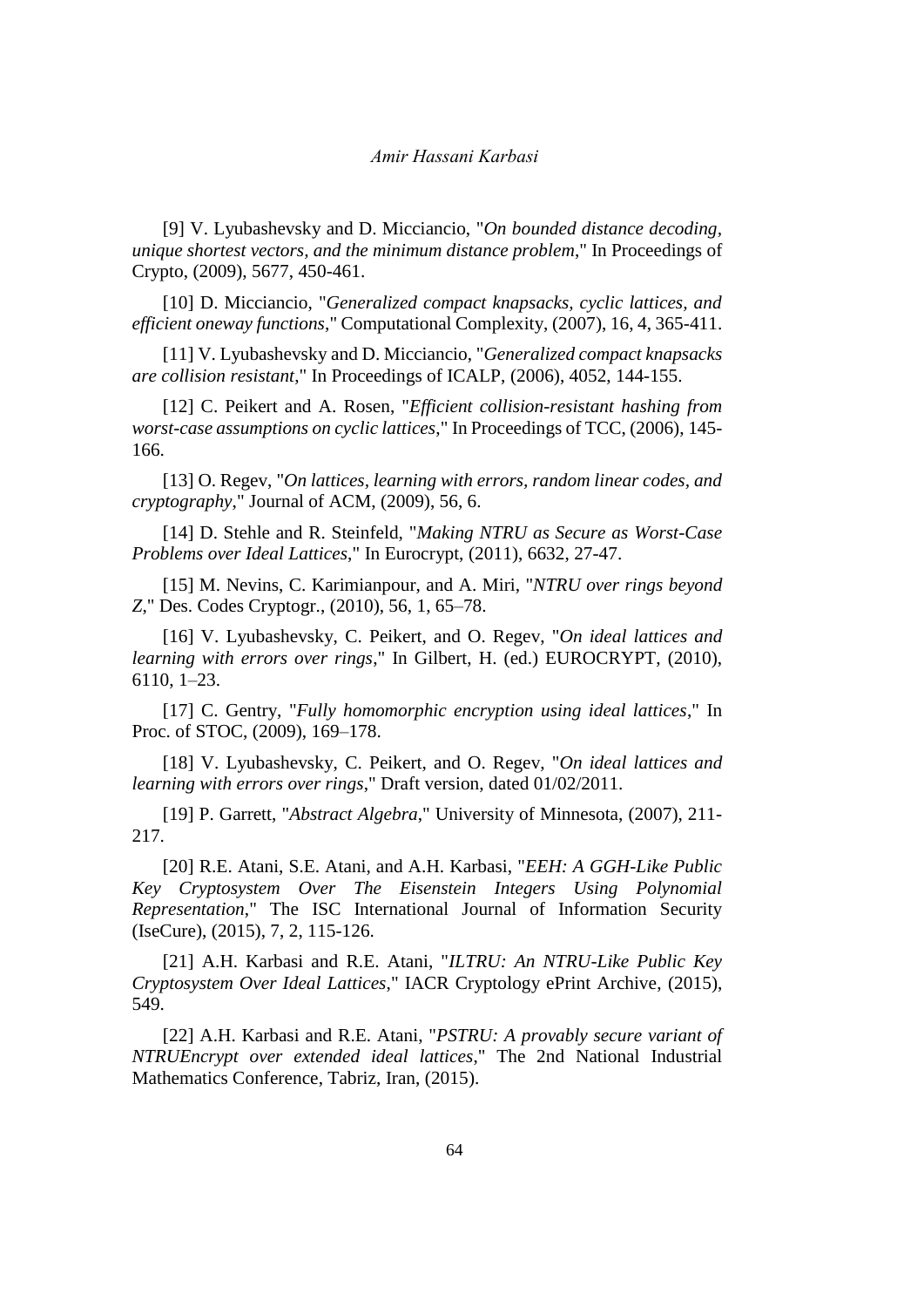[9] V. Lyubashevsky and D. Micciancio, "*On bounded distance decoding, unique shortest vectors, and the minimum distance problem*," In Proceedings of Crypto, (2009), 5677, 450-461.

[10] D. Micciancio, "*Generalized compact knapsacks, cyclic lattices, and efficient oneway functions*," Computational Complexity, (2007), 16, 4, 365-411.

[11] V. Lyubashevsky and D. Micciancio, "*Generalized compact knapsacks are collision resistant*," In Proceedings of ICALP, (2006), 4052, 144-155.

[12] C. Peikert and A. Rosen, "*Efficient collision-resistant hashing from worst-case assumptions on cyclic lattices*," In Proceedings of TCC, (2006), 145- 166.

[13] O. Regev, "*On lattices, learning with errors, random linear codes, and cryptography*," Journal of ACM, (2009), 56, 6.

[14] D. Stehle and R. Steinfeld, "*Making NTRU as Secure as Worst-Case Problems over Ideal Lattices*," In Eurocrypt, (2011), 6632, 27-47.

[15] M. Nevins, C. Karimianpour, and A. Miri, "*NTRU over rings beyond Z*," Des. Codes Cryptogr., (2010), 56, 1, 65–78.

[16] V. Lyubashevsky, C. Peikert, and O. Regev, "*On ideal lattices and learning with errors over rings*," In Gilbert, H. (ed.) EUROCRYPT, (2010), 6110, 1–23.

[17] C. Gentry, "*Fully homomorphic encryption using ideal lattices*," In Proc. of STOC, (2009), 169–178.

[18] V. Lyubashevsky, C. Peikert, and O. Regev, "*On ideal lattices and learning with errors over rings*," Draft version, dated 01/02/2011.

[19] P. Garrett, "*Abstract Algebra*," University of Minnesota, (2007), 211- 217.

[20] R.E. Atani, S.E. Atani, and A.H. Karbasi, "*EEH: A GGH-Like Public Key Cryptosystem Over The Eisenstein Integers Using Polynomial Representation*," The ISC International Journal of Information Security (IseCure), (2015), 7, 2, 115-126.

[21] A.H. Karbasi and R.E. Atani, "*ILTRU: An NTRU-Like Public Key Cryptosystem Over Ideal Lattices*," IACR Cryptology ePrint Archive, (2015), 549.

[22] A.H. Karbasi and R.E. Atani, "*PSTRU: A provably secure variant of NTRUEncrypt over extended ideal lattices*," The 2nd National Industrial Mathematics Conference, Tabriz, Iran, (2015).